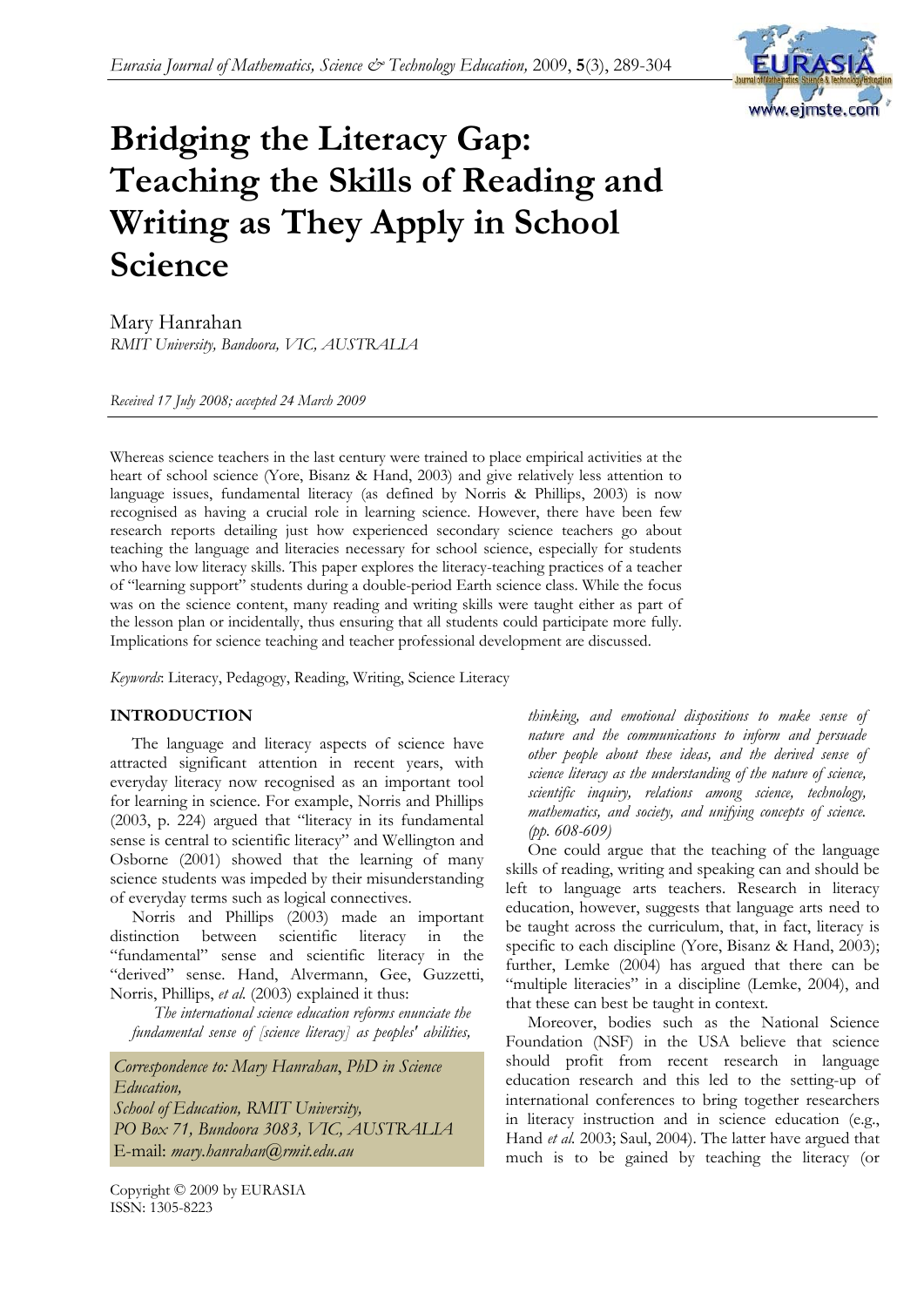

# **Bridging the Literacy Gap: Teaching the Skills of Reading and Writing as They Apply in School Science**

Mary Hanrahan *RMIT University, Bandoora, VIC, AUSTRALIA* 

*Received 17 July 2008; accepted 24 March 2009* 

Whereas science teachers in the last century were trained to place empirical activities at the heart of school science (Yore, Bisanz & Hand, 2003) and give relatively less attention to language issues, fundamental literacy (as defined by Norris & Phillips, 2003) is now recognised as having a crucial role in learning science. However, there have been few research reports detailing just how experienced secondary science teachers go about teaching the language and literacies necessary for school science, especially for students who have low literacy skills. This paper explores the literacy-teaching practices of a teacher of "learning support" students during a double-period Earth science class. While the focus was on the science content, many reading and writing skills were taught either as part of the lesson plan or incidentally, thus ensuring that all students could participate more fully. Implications for science teaching and teacher professional development are discussed.

*Keywords*: Literacy, Pedagogy, Reading, Writing, Science Literacy

#### **INTRODUCTION**

The language and literacy aspects of science have attracted significant attention in recent years, with everyday literacy now recognised as an important tool for learning in science. For example, Norris and Phillips (2003, p. 224) argued that "literacy in its fundamental sense is central to scientific literacy" and Wellington and Osborne (2001) showed that the learning of many science students was impeded by their misunderstanding of everyday terms such as logical connectives.

Norris and Phillips (2003) made an important distinction between scientific literacy in the "fundamental" sense and scientific literacy in the "derived" sense. Hand, Alvermann, Gee, Guzzetti, Norris, Phillips, *et al.* (2003) explained it thus:

*The international science education reforms enunciate the fundamental sense of [science literacy] as peoples' abilities,* 

*Correspondence to: Mary Hanrahan*, *PhD in Science Education, School of Education, RMIT University, PO Box 71, Bundoora 3083, VIC, AUSTRALIA*  E-mail: *mary.hanrahan@rmit.edu.au* 

Copyright © 2009 by EURASIA ISSN: 1305-8223

*thinking, and emotional dispositions to make sense of nature and the communications to inform and persuade other people about these ideas, and the derived sense of science literacy as the understanding of the nature of science, scientific inquiry, relations among science, technology, mathematics, and society, and unifying concepts of science. (pp. 608-609)* 

One could argue that the teaching of the language skills of reading, writing and speaking can and should be left to language arts teachers. Research in literacy education, however, suggests that language arts need to be taught across the curriculum, that, in fact, literacy is specific to each discipline (Yore, Bisanz & Hand, 2003); further, Lemke (2004) has argued that there can be "multiple literacies" in a discipline (Lemke, 2004), and that these can best be taught in context.

Moreover, bodies such as the National Science Foundation (NSF) in the USA believe that science should profit from recent research in language education research and this led to the setting-up of international conferences to bring together researchers in literacy instruction and in science education (e.g., Hand *et al.* 2003; Saul, 2004). The latter have argued that much is to be gained by teaching the literacy (or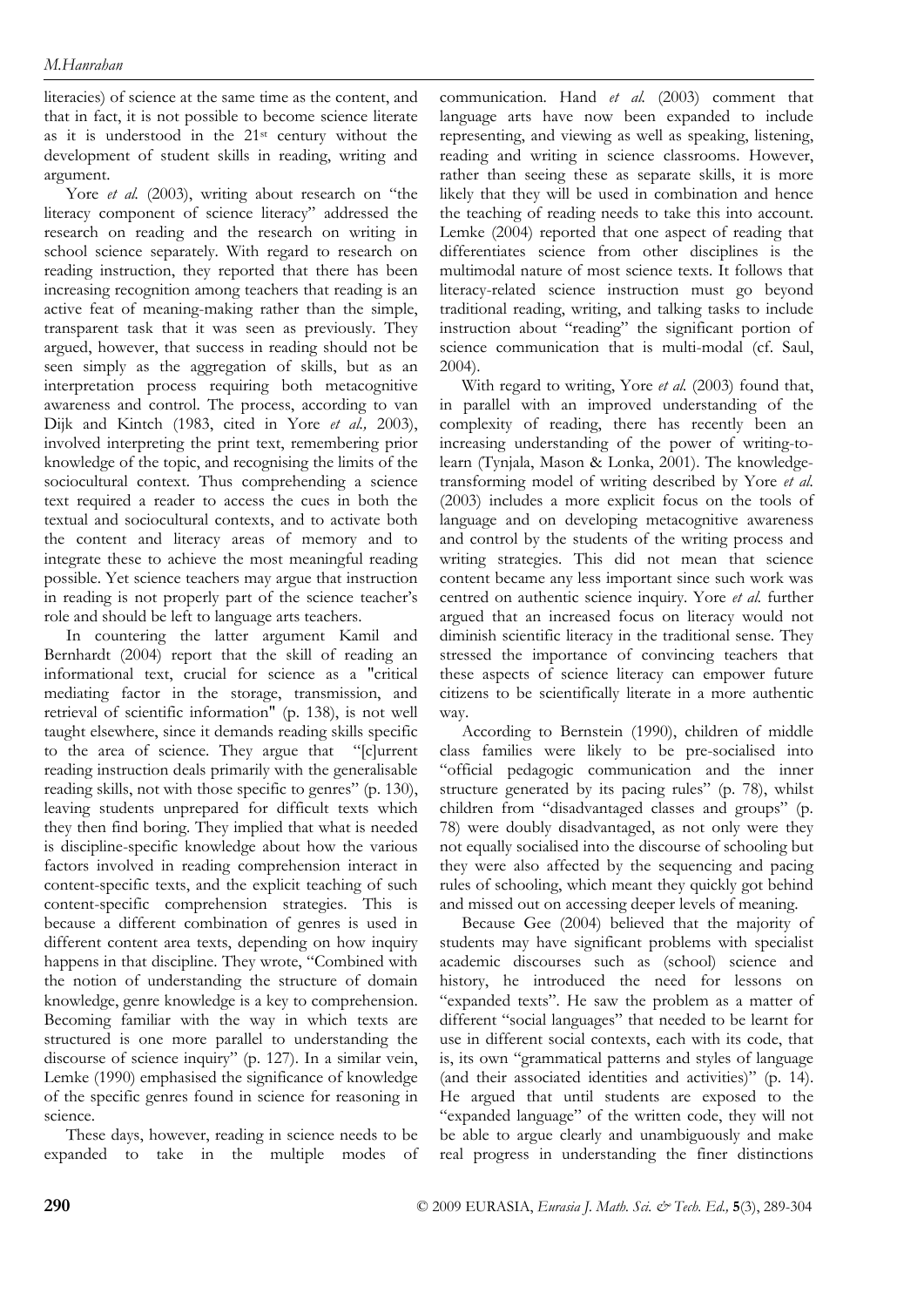literacies) of science at the same time as the content, and that in fact, it is not possible to become science literate as it is understood in the 21st century without the development of student skills in reading, writing and argument.

Yore *et al.* (2003), writing about research on "the literacy component of science literacy" addressed the research on reading and the research on writing in school science separately. With regard to research on reading instruction, they reported that there has been increasing recognition among teachers that reading is an active feat of meaning-making rather than the simple, transparent task that it was seen as previously. They argued, however, that success in reading should not be seen simply as the aggregation of skills, but as an interpretation process requiring both metacognitive awareness and control. The process, according to van Dijk and Kintch (1983, cited in Yore *et al.,* 2003), involved interpreting the print text, remembering prior knowledge of the topic, and recognising the limits of the sociocultural context. Thus comprehending a science text required a reader to access the cues in both the textual and sociocultural contexts, and to activate both the content and literacy areas of memory and to integrate these to achieve the most meaningful reading possible. Yet science teachers may argue that instruction in reading is not properly part of the science teacher's role and should be left to language arts teachers.

In countering the latter argument Kamil and Bernhardt (2004) report that the skill of reading an informational text, crucial for science as a "critical mediating factor in the storage, transmission, and retrieval of scientific information" (p. 138), is not well taught elsewhere, since it demands reading skills specific to the area of science. They argue that "[c]urrent reading instruction deals primarily with the generalisable reading skills, not with those specific to genres" (p. 130), leaving students unprepared for difficult texts which they then find boring. They implied that what is needed is discipline-specific knowledge about how the various factors involved in reading comprehension interact in content-specific texts, and the explicit teaching of such content-specific comprehension strategies. This is because a different combination of genres is used in different content area texts, depending on how inquiry happens in that discipline. They wrote, "Combined with the notion of understanding the structure of domain knowledge, genre knowledge is a key to comprehension. Becoming familiar with the way in which texts are structured is one more parallel to understanding the discourse of science inquiry" (p. 127). In a similar vein, Lemke (1990) emphasised the significance of knowledge of the specific genres found in science for reasoning in science.

These days, however, reading in science needs to be expanded to take in the multiple modes of communication. Hand *et al.* (2003) comment that language arts have now been expanded to include representing, and viewing as well as speaking, listening, reading and writing in science classrooms. However, rather than seeing these as separate skills, it is more likely that they will be used in combination and hence the teaching of reading needs to take this into account. Lemke (2004) reported that one aspect of reading that differentiates science from other disciplines is the multimodal nature of most science texts. It follows that literacy-related science instruction must go beyond traditional reading, writing, and talking tasks to include instruction about "reading" the significant portion of science communication that is multi-modal (cf. Saul, 2004).

With regard to writing, Yore *et al.* (2003) found that, in parallel with an improved understanding of the complexity of reading, there has recently been an increasing understanding of the power of writing-tolearn (Tynjala, Mason & Lonka, 2001). The knowledgetransforming model of writing described by Yore *et al.* (2003) includes a more explicit focus on the tools of language and on developing metacognitive awareness and control by the students of the writing process and writing strategies. This did not mean that science content became any less important since such work was centred on authentic science inquiry. Yore *et al.* further argued that an increased focus on literacy would not diminish scientific literacy in the traditional sense. They stressed the importance of convincing teachers that these aspects of science literacy can empower future citizens to be scientifically literate in a more authentic way.

According to Bernstein (1990), children of middle class families were likely to be pre-socialised into "official pedagogic communication and the inner structure generated by its pacing rules" (p. 78), whilst children from "disadvantaged classes and groups" (p. 78) were doubly disadvantaged, as not only were they not equally socialised into the discourse of schooling but they were also affected by the sequencing and pacing rules of schooling, which meant they quickly got behind and missed out on accessing deeper levels of meaning.

Because Gee (2004) believed that the majority of students may have significant problems with specialist academic discourses such as (school) science and history, he introduced the need for lessons on "expanded texts". He saw the problem as a matter of different "social languages" that needed to be learnt for use in different social contexts, each with its code, that is, its own "grammatical patterns and styles of language (and their associated identities and activities)" (p. 14). He argued that until students are exposed to the "expanded language" of the written code, they will not be able to argue clearly and unambiguously and make real progress in understanding the finer distinctions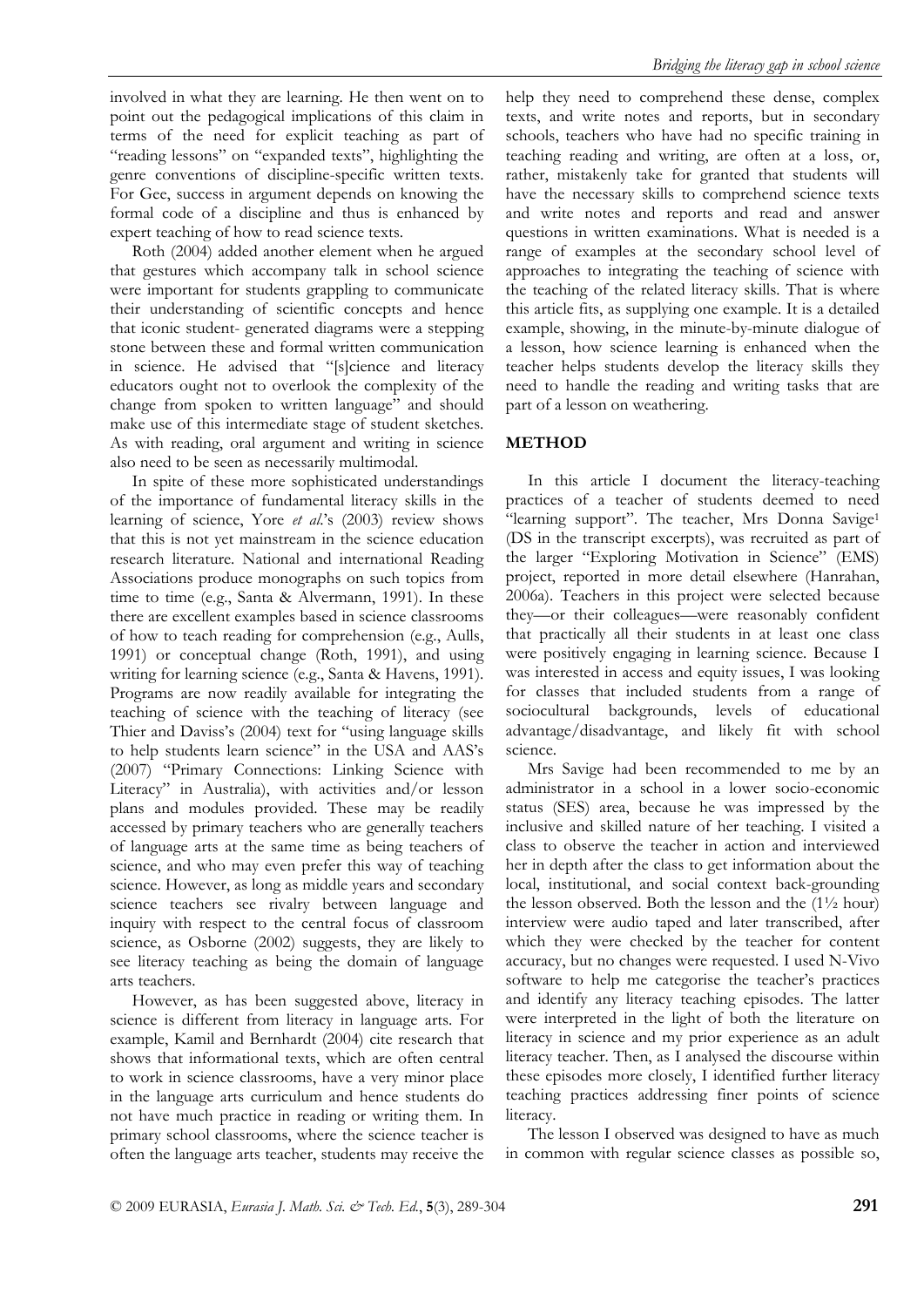involved in what they are learning. He then went on to point out the pedagogical implications of this claim in terms of the need for explicit teaching as part of "reading lessons" on "expanded texts", highlighting the genre conventions of discipline-specific written texts. For Gee, success in argument depends on knowing the formal code of a discipline and thus is enhanced by expert teaching of how to read science texts.

Roth (2004) added another element when he argued that gestures which accompany talk in school science were important for students grappling to communicate their understanding of scientific concepts and hence that iconic student- generated diagrams were a stepping stone between these and formal written communication in science. He advised that "[s]cience and literacy educators ought not to overlook the complexity of the change from spoken to written language" and should make use of this intermediate stage of student sketches. As with reading, oral argument and writing in science also need to be seen as necessarily multimodal.

In spite of these more sophisticated understandings of the importance of fundamental literacy skills in the learning of science, Yore *et al*.'s (2003) review shows that this is not yet mainstream in the science education research literature. National and international Reading Associations produce monographs on such topics from time to time (e.g., Santa & Alvermann, 1991). In these there are excellent examples based in science classrooms of how to teach reading for comprehension (e.g., Aulls, 1991) or conceptual change (Roth, 1991), and using writing for learning science (e.g., Santa & Havens, 1991). Programs are now readily available for integrating the teaching of science with the teaching of literacy (see Thier and Daviss's (2004) text for "using language skills to help students learn science" in the USA and AAS's (2007) "Primary Connections: Linking Science with Literacy" in Australia), with activities and/or lesson plans and modules provided. These may be readily accessed by primary teachers who are generally teachers of language arts at the same time as being teachers of science, and who may even prefer this way of teaching science. However, as long as middle years and secondary science teachers see rivalry between language and inquiry with respect to the central focus of classroom science, as Osborne (2002) suggests, they are likely to see literacy teaching as being the domain of language arts teachers.

However, as has been suggested above, literacy in science is different from literacy in language arts. For example, Kamil and Bernhardt (2004) cite research that shows that informational texts, which are often central to work in science classrooms, have a very minor place in the language arts curriculum and hence students do not have much practice in reading or writing them. In primary school classrooms, where the science teacher is often the language arts teacher, students may receive the help they need to comprehend these dense, complex texts, and write notes and reports, but in secondary schools, teachers who have had no specific training in teaching reading and writing, are often at a loss, or, rather, mistakenly take for granted that students will have the necessary skills to comprehend science texts and write notes and reports and read and answer questions in written examinations. What is needed is a range of examples at the secondary school level of approaches to integrating the teaching of science with the teaching of the related literacy skills. That is where this article fits, as supplying one example. It is a detailed example, showing, in the minute-by-minute dialogue of a lesson, how science learning is enhanced when the teacher helps students develop the literacy skills they need to handle the reading and writing tasks that are part of a lesson on weathering.

#### **METHOD**

In this article I document the literacy-teaching practices of a teacher of students deemed to need "learning support". The teacher, Mrs Donna Savige<sup>1</sup> (DS in the transcript excerpts), was recruited as part of the larger "Exploring Motivation in Science" (EMS) project, reported in more detail elsewhere (Hanrahan, 2006a). Teachers in this project were selected because they—or their colleagues—were reasonably confident that practically all their students in at least one class were positively engaging in learning science. Because I was interested in access and equity issues, I was looking for classes that included students from a range of sociocultural backgrounds, levels of educational advantage/disadvantage, and likely fit with school science.

Mrs Savige had been recommended to me by an administrator in a school in a lower socio-economic status (SES) area, because he was impressed by the inclusive and skilled nature of her teaching. I visited a class to observe the teacher in action and interviewed her in depth after the class to get information about the local, institutional, and social context back-grounding the lesson observed. Both the lesson and the  $(1\frac{1}{2} \text{ hour})$ interview were audio taped and later transcribed, after which they were checked by the teacher for content accuracy, but no changes were requested. I used N-Vivo software to help me categorise the teacher's practices and identify any literacy teaching episodes. The latter were interpreted in the light of both the literature on literacy in science and my prior experience as an adult literacy teacher. Then, as I analysed the discourse within these episodes more closely, I identified further literacy teaching practices addressing finer points of science literacy.

The lesson I observed was designed to have as much in common with regular science classes as possible so,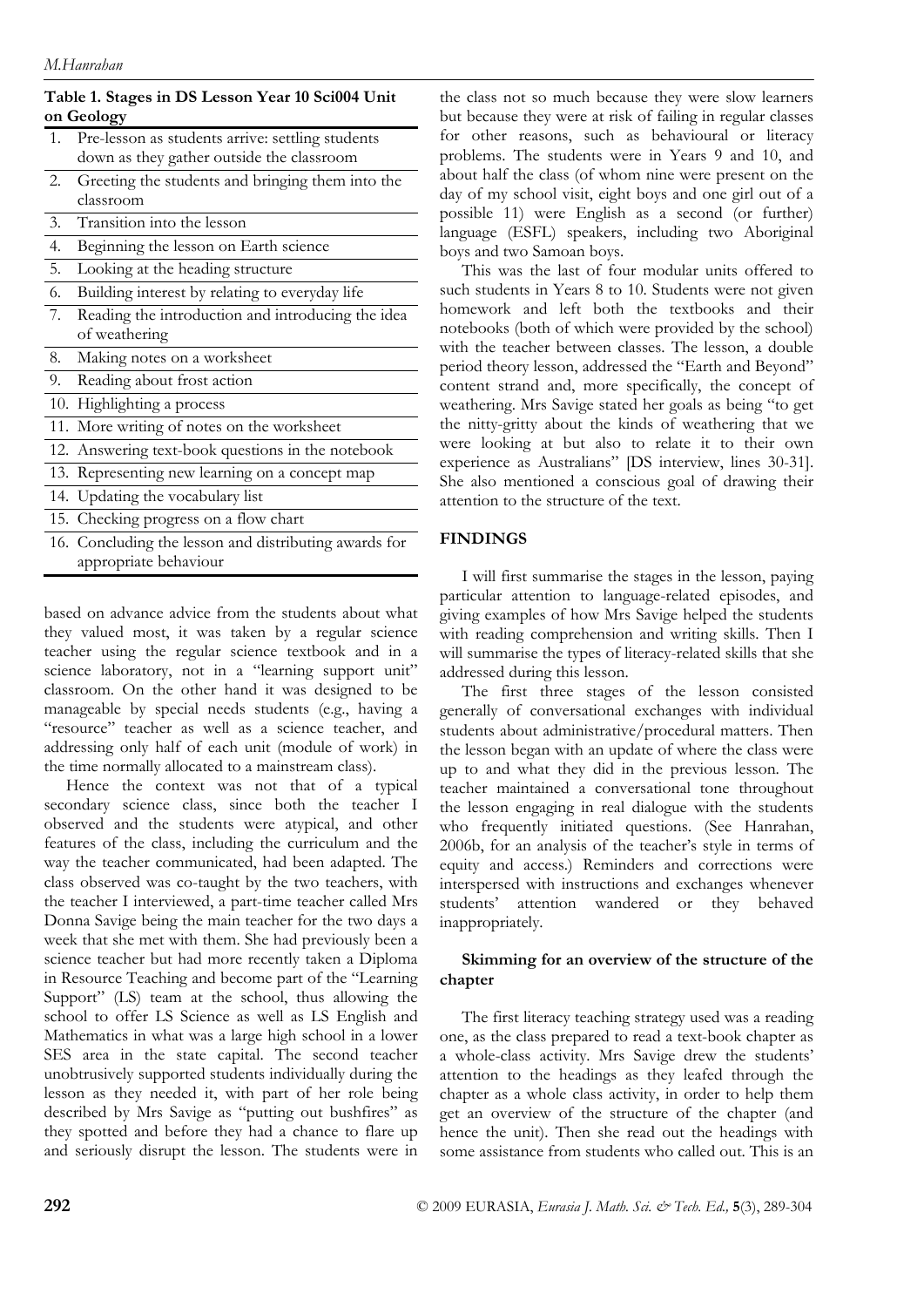| Table 1. Stages in DS Lesson Year 10 Sci004 Unit |  |  |
|--------------------------------------------------|--|--|
| on Geology                                       |  |  |

- 1. Pre-lesson as students arrive: settling students down as they gather outside the classroom
- 2. Greeting the students and bringing them into the classroom
- 3. Transition into the lesson
- 4. Beginning the lesson on Earth science
- 5. Looking at the heading structure
- 6. Building interest by relating to everyday life
- 7. Reading the introduction and introducing the idea of weathering
- 8. Making notes on a worksheet
- 9. Reading about frost action
- 10. Highlighting a process
- 11. More writing of notes on the worksheet
- 12. Answering text-book questions in the notebook
- 13. Representing new learning on a concept map
- 14. Updating the vocabulary list
- 15. Checking progress on a flow chart
- 16. Concluding the lesson and distributing awards for appropriate behaviour

based on advance advice from the students about what they valued most, it was taken by a regular science teacher using the regular science textbook and in a science laboratory, not in a "learning support unit" classroom. On the other hand it was designed to be manageable by special needs students (e.g., having a "resource" teacher as well as a science teacher, and addressing only half of each unit (module of work) in the time normally allocated to a mainstream class).

Hence the context was not that of a typical secondary science class, since both the teacher I observed and the students were atypical, and other features of the class, including the curriculum and the way the teacher communicated, had been adapted. The class observed was co-taught by the two teachers, with the teacher I interviewed, a part-time teacher called Mrs Donna Savige being the main teacher for the two days a week that she met with them. She had previously been a science teacher but had more recently taken a Diploma in Resource Teaching and become part of the "Learning Support" (LS) team at the school, thus allowing the school to offer LS Science as well as LS English and Mathematics in what was a large high school in a lower SES area in the state capital. The second teacher unobtrusively supported students individually during the lesson as they needed it, with part of her role being described by Mrs Savige as "putting out bushfires" as they spotted and before they had a chance to flare up and seriously disrupt the lesson. The students were in the class not so much because they were slow learners but because they were at risk of failing in regular classes for other reasons, such as behavioural or literacy problems. The students were in Years 9 and 10, and about half the class (of whom nine were present on the day of my school visit, eight boys and one girl out of a possible 11) were English as a second (or further) language (ESFL) speakers, including two Aboriginal boys and two Samoan boys.

This was the last of four modular units offered to such students in Years 8 to 10. Students were not given homework and left both the textbooks and their notebooks (both of which were provided by the school) with the teacher between classes. The lesson, a double period theory lesson, addressed the "Earth and Beyond" content strand and, more specifically, the concept of weathering. Mrs Savige stated her goals as being "to get the nitty-gritty about the kinds of weathering that we were looking at but also to relate it to their own experience as Australians" [DS interview, lines 30-31]. She also mentioned a conscious goal of drawing their attention to the structure of the text.

# **FINDINGS**

I will first summarise the stages in the lesson, paying particular attention to language-related episodes, and giving examples of how Mrs Savige helped the students with reading comprehension and writing skills. Then I will summarise the types of literacy-related skills that she addressed during this lesson.

The first three stages of the lesson consisted generally of conversational exchanges with individual students about administrative/procedural matters. Then the lesson began with an update of where the class were up to and what they did in the previous lesson. The teacher maintained a conversational tone throughout the lesson engaging in real dialogue with the students who frequently initiated questions. (See Hanrahan, 2006b, for an analysis of the teacher's style in terms of equity and access.) Reminders and corrections were interspersed with instructions and exchanges whenever students' attention wandered or they behaved inappropriately.

# **Skimming for an overview of the structure of the chapter**

The first literacy teaching strategy used was a reading one, as the class prepared to read a text-book chapter as a whole-class activity. Mrs Savige drew the students' attention to the headings as they leafed through the chapter as a whole class activity, in order to help them get an overview of the structure of the chapter (and hence the unit). Then she read out the headings with some assistance from students who called out. This is an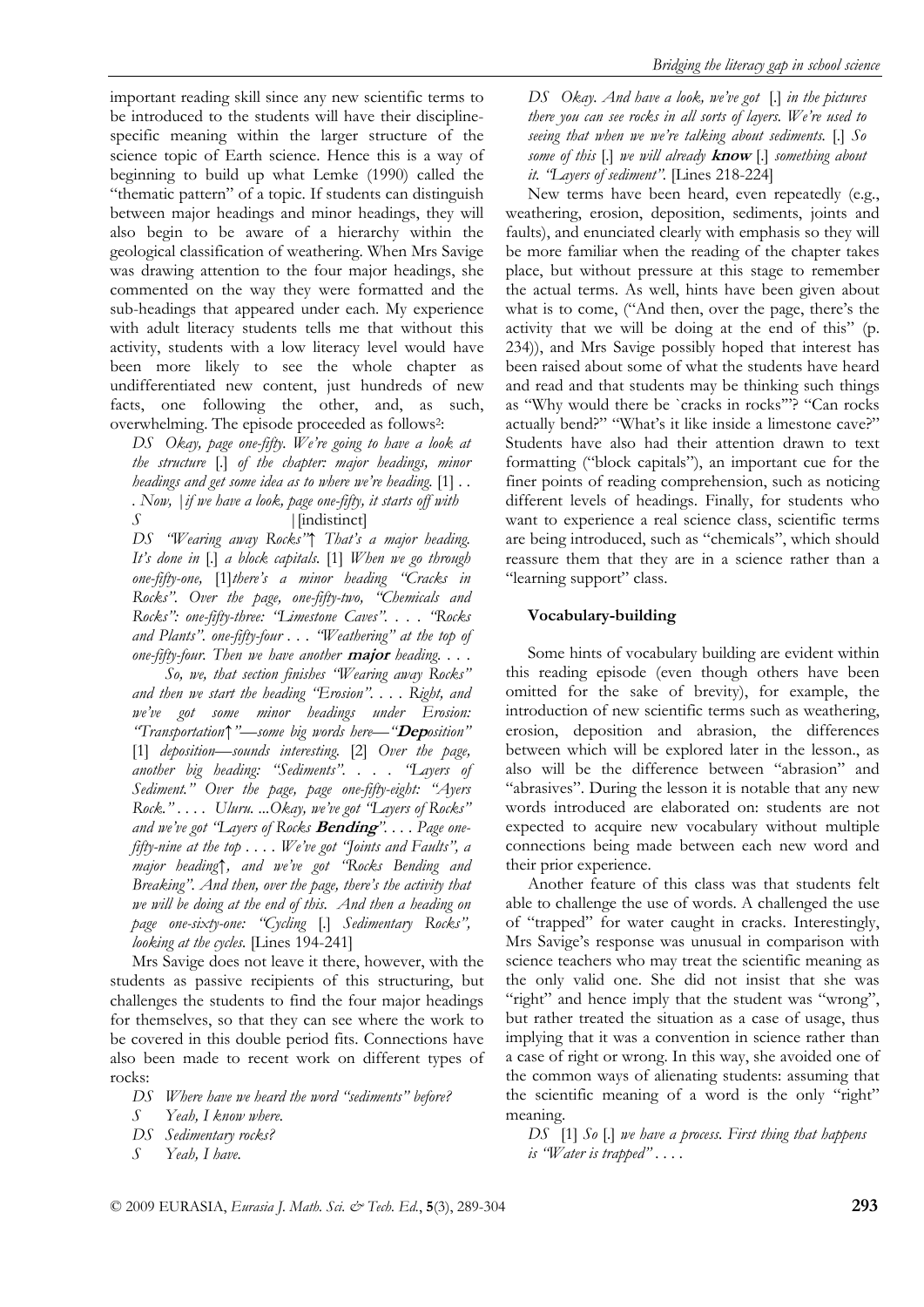important reading skill since any new scientific terms to be introduced to the students will have their disciplinespecific meaning within the larger structure of the science topic of Earth science. Hence this is a way of beginning to build up what Lemke (1990) called the "thematic pattern" of a topic. If students can distinguish between major headings and minor headings, they will also begin to be aware of a hierarchy within the geological classification of weathering. When Mrs Savige was drawing attention to the four major headings, she commented on the way they were formatted and the sub-headings that appeared under each. My experience with adult literacy students tells me that without this activity, students with a low literacy level would have been more likely to see the whole chapter as undifferentiated new content, just hundreds of new facts, one following the other, and, as such, overwhelming. The episode proceeded as follows2:

*DS Okay, page one-fifty. We're going to have a look at the structure* [.] *of the chapter: major headings, minor headings and get some idea as to where we're heading.* [1] *. . . Now, |if we have a look, page one-fifty, it starts off with S |*[indistinct]

*DS "Wearing away Rocks"↑ That's a major heading. It's done in* [.] *a block capitals.* [1] *When we go through one-fifty-one,* [1]*there's a minor heading "Cracks in Rocks". Over the page, one-fifty-two, "Chemicals and Rocks": one-fifty-three: "Limestone Caves". . . . "Rocks and Plants". one-fifty-four . . . "Weathering" at the top of one-fifty-four. Then we have another* **major** *heading. . . .* 

 *So, we, that section finishes "Wearing away Rocks" and then we start the heading "Erosion". . . . Right, and we've got some minor headings under Erosion: "Transportation↑"—some big words here—"***Dep***osition"*  [1] *deposition—sounds interesting.* [2] *Over the page, another big heading: "Sediments". . . . "Layers of Sediment." Over the page, page one-fifty-eight: "Ayers Rock." . . . . Uluru. ...Okay, we've got "Layers of Rocks" and we've got "Layers of Rocks* **Bending***". . . . Page onefifty-nine at the top . . . . We've got "Joints and Faults", a major heading↑, and we've got "Rocks Bending and Breaking". And then, over the page, there's the activity that we will be doing at the end of this. And then a heading on page one-sixty-one: "Cycling* [.] *Sedimentary Rocks", looking at the cycles.* [Lines 194-241]

Mrs Savige does not leave it there, however, with the students as passive recipients of this structuring, but challenges the students to find the four major headings for themselves, so that they can see where the work to be covered in this double period fits. Connections have also been made to recent work on different types of rocks:

- *DS Where have we heard the word "sediments" before?*
- *S Yeah, I know where.*
- *DS Sedimentary rocks?*
- *S Yeah, I have.*

*DS Okay. And have a look, we've got* [.] *in the pictures there you can see rocks in all sorts of layers. We're used to seeing that when we we're talking about sediments.* [.] *So some of this* [.] *we will already* **know** [.] *something about it. "Layers of sediment".* [Lines 218-224]

New terms have been heard, even repeatedly (e.g., weathering, erosion, deposition, sediments, joints and faults), and enunciated clearly with emphasis so they will be more familiar when the reading of the chapter takes place, but without pressure at this stage to remember the actual terms. As well, hints have been given about what is to come, ("And then, over the page, there's the activity that we will be doing at the end of this" (p. 234)), and Mrs Savige possibly hoped that interest has been raised about some of what the students have heard and read and that students may be thinking such things as "Why would there be `cracks in rocks'"? "Can rocks actually bend?" "What's it like inside a limestone cave?" Students have also had their attention drawn to text formatting ("block capitals"), an important cue for the finer points of reading comprehension, such as noticing different levels of headings. Finally, for students who want to experience a real science class, scientific terms are being introduced, such as "chemicals", which should reassure them that they are in a science rather than a "learning support" class.

#### **Vocabulary-building**

Some hints of vocabulary building are evident within this reading episode (even though others have been omitted for the sake of brevity), for example, the introduction of new scientific terms such as weathering, erosion, deposition and abrasion, the differences between which will be explored later in the lesson., as also will be the difference between "abrasion" and "abrasives". During the lesson it is notable that any new words introduced are elaborated on: students are not expected to acquire new vocabulary without multiple connections being made between each new word and their prior experience.

Another feature of this class was that students felt able to challenge the use of words. A challenged the use of "trapped" for water caught in cracks. Interestingly, Mrs Savige's response was unusual in comparison with science teachers who may treat the scientific meaning as the only valid one. She did not insist that she was "right" and hence imply that the student was "wrong", but rather treated the situation as a case of usage, thus implying that it was a convention in science rather than a case of right or wrong. In this way, she avoided one of the common ways of alienating students: assuming that the scientific meaning of a word is the only "right" meaning.

*DS* [1] *So* [.] *we have a process. First thing that happens is "Water is trapped" . . . .*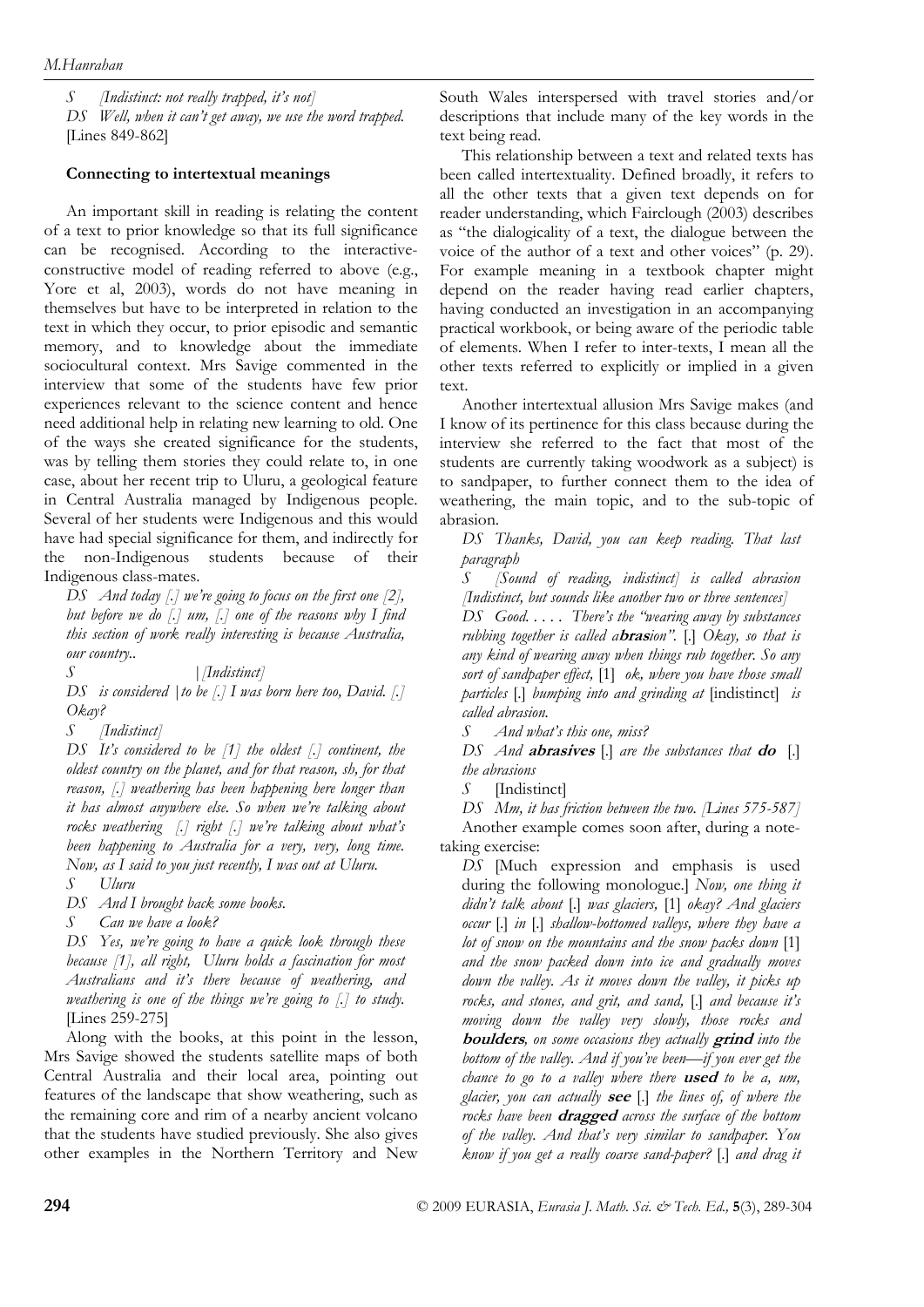*S [Indistinct: not really trapped, it's not] DS Well, when it can't get away, we use the word trapped.*  [Lines 849-862]

## **Connecting to intertextual meanings**

An important skill in reading is relating the content of a text to prior knowledge so that its full significance can be recognised. According to the interactiveconstructive model of reading referred to above (e.g., Yore et al, 2003), words do not have meaning in themselves but have to be interpreted in relation to the text in which they occur, to prior episodic and semantic memory, and to knowledge about the immediate sociocultural context. Mrs Savige commented in the interview that some of the students have few prior experiences relevant to the science content and hence need additional help in relating new learning to old. One of the ways she created significance for the students, was by telling them stories they could relate to, in one case, about her recent trip to Uluru, a geological feature in Central Australia managed by Indigenous people. Several of her students were Indigenous and this would have had special significance for them, and indirectly for the non-Indigenous students because of their Indigenous class-mates.

*DS And today [.] we're going to focus on the first one [2], but before we do [.] um, [.] one of the reasons why I find this section of work really interesting is because Australia, our country..* 

*S |[Indistinct]* 

*DS is considered |to be [.] I was born here too, David. [.] Okay?* 

*S [Indistinct]* 

*DS It's considered to be [1] the oldest [.] continent, the oldest country on the planet, and for that reason, sh, for that reason, [.] weathering has been happening here longer than it has almost anywhere else. So when we're talking about rocks weathering [.] right [.] we're talking about what's been happening to Australia for a very, very, long time. Now, as I said to you just recently, I was out at Uluru.* 

*S Uluru* 

*DS And I brought back some books.* 

*S Can we have a look?* 

*DS Yes, we're going to have a quick look through these because [1], all right, Uluru holds a fascination for most Australians and it's there because of weathering, and weathering is one of the things we're going to [.] to study.*  [Lines 259-275]

Along with the books, at this point in the lesson, Mrs Savige showed the students satellite maps of both Central Australia and their local area, pointing out features of the landscape that show weathering, such as the remaining core and rim of a nearby ancient volcano that the students have studied previously. She also gives other examples in the Northern Territory and New South Wales interspersed with travel stories and/or descriptions that include many of the key words in the text being read.

This relationship between a text and related texts has been called intertextuality. Defined broadly, it refers to all the other texts that a given text depends on for reader understanding, which Fairclough (2003) describes as "the dialogicality of a text, the dialogue between the voice of the author of a text and other voices" (p. 29). For example meaning in a textbook chapter might depend on the reader having read earlier chapters, having conducted an investigation in an accompanying practical workbook, or being aware of the periodic table of elements. When I refer to inter-texts, I mean all the other texts referred to explicitly or implied in a given text.

Another intertextual allusion Mrs Savige makes (and I know of its pertinence for this class because during the interview she referred to the fact that most of the students are currently taking woodwork as a subject) is to sandpaper, to further connect them to the idea of weathering, the main topic, and to the sub-topic of abrasion.

*DS Thanks, David, you can keep reading. That last paragraph* 

*S [Sound of reading, indistinct] is called abrasion [Indistinct, but sounds like another two or three sentences] DS Good. . . . . There's the "wearing away by substances rubbing together is called a***bras***ion".* [.] *Okay, so that is any kind of wearing away when things rub together. So any sort of sandpaper effect,* [1] *ok, where you have those small particles* [.] *bumping into and grinding at* [indistinct] *is called abrasion.* 

*S And what's this one, miss?* 

*DS And* **abrasives** [.] *are the substances that* **do**[.] *the abrasions* 

*S* [Indistinct]

*DS Mm, it has friction between the two. [Lines 575-587]*  Another example comes soon after, during a notetaking exercise:

*DS* [Much expression and emphasis is used during the following monologue.] *Now, one thing it didn't talk about* [.] *was glaciers,* [1] *okay? And glaciers occur* [.] *in* [.] *shallow-bottomed valleys, where they have a lot of snow on the mountains and the snow packs down* [1] *and the snow packed down into ice and gradually moves down the valley. As it moves down the valley, it picks up rocks, and stones, and grit, and sand,* [.] *and because it's moving down the valley very slowly, those rocks and*  **boulders***, on some occasions they actually* **grind** *into the bottom of the valley. And if you've been—if you ever get the chance to go to a valley where there* **used** *to be a, um, glacier, you can actually* **see** [.] *the lines of, of where the rocks have been* **dragged** *across the surface of the bottom of the valley. And that's very similar to sandpaper. You know if you get a really coarse sand-paper?* [.] *and drag it*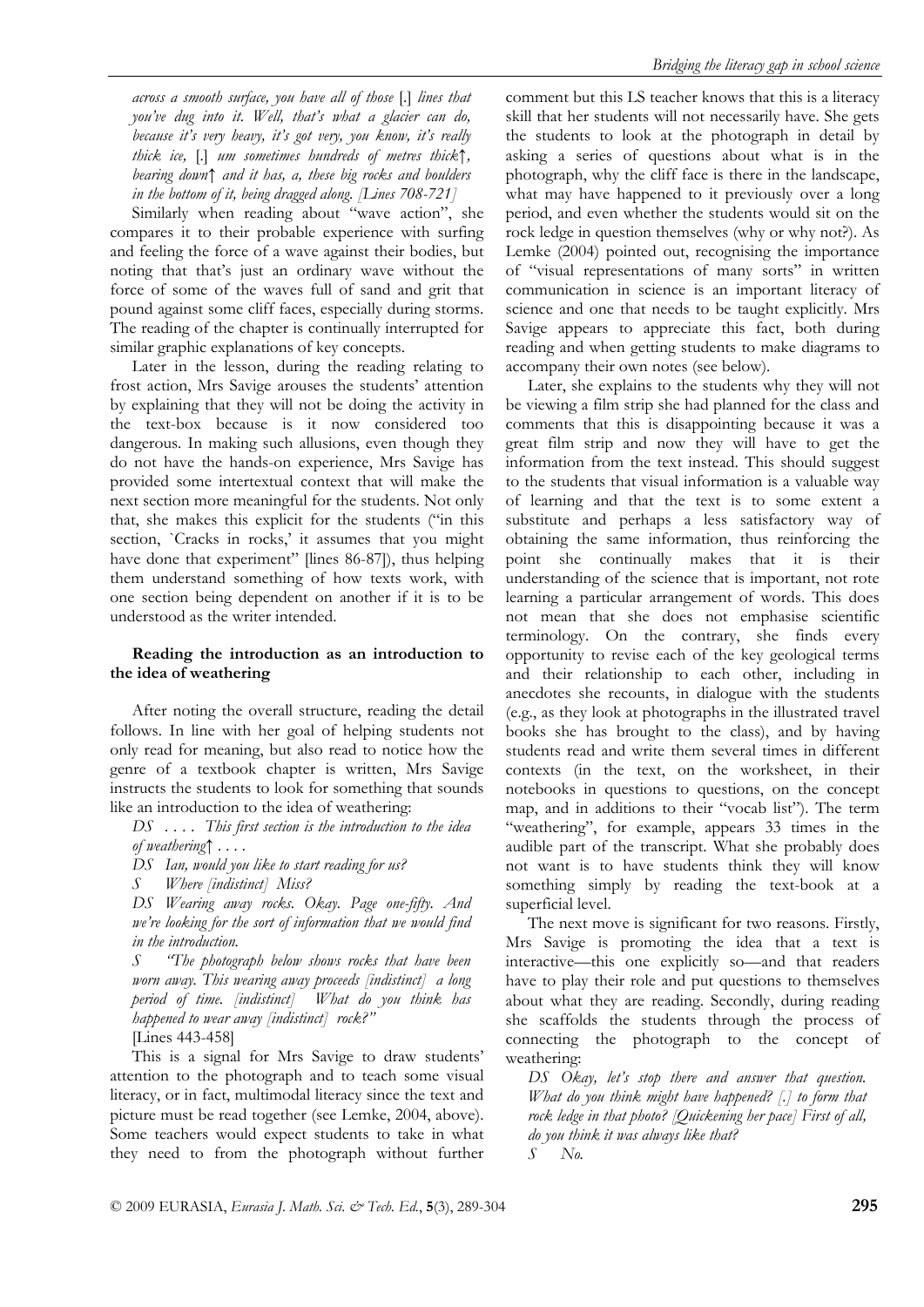*across a smooth surface, you have all of those* [.] *lines that you've dug into it. Well, that's what a glacier can do, because it's very heavy, it's got very, you know, it's really thick ice,* [.] *um sometimes hundreds of metres thick↑, bearing down↑ and it has, a, these big rocks and boulders in the bottom of it, being dragged along. [Lines 708-721]* 

Similarly when reading about "wave action", she compares it to their probable experience with surfing and feeling the force of a wave against their bodies, but noting that that's just an ordinary wave without the force of some of the waves full of sand and grit that pound against some cliff faces, especially during storms. The reading of the chapter is continually interrupted for similar graphic explanations of key concepts.

Later in the lesson, during the reading relating to frost action, Mrs Savige arouses the students' attention by explaining that they will not be doing the activity in the text-box because is it now considered too dangerous. In making such allusions, even though they do not have the hands-on experience, Mrs Savige has provided some intertextual context that will make the next section more meaningful for the students. Not only that, she makes this explicit for the students ("in this section, `Cracks in rocks,' it assumes that you might have done that experiment" [lines 86-87]), thus helping them understand something of how texts work, with one section being dependent on another if it is to be understood as the writer intended.

# **Reading the introduction as an introduction to the idea of weathering**

After noting the overall structure, reading the detail follows. In line with her goal of helping students not only read for meaning, but also read to notice how the genre of a textbook chapter is written, Mrs Savige instructs the students to look for something that sounds like an introduction to the idea of weathering:

*DS . . . . This first section is the introduction to the idea of weathering↑ . . . .* 

*DS Ian, would you like to start reading for us?* 

*S Where [indistinct] Miss?* 

*DS Wearing away rocks. Okay. Page one-fifty. And we're looking for the sort of information that we would find in the introduction.* 

*S "The photograph below shows rocks that have been worn away. This wearing away proceeds [indistinct] a long period of time. [indistinct] What do you think has happened to wear away [indistinct] rock?"* 

[Lines 443-458]

This is a signal for Mrs Savige to draw students' attention to the photograph and to teach some visual literacy, or in fact, multimodal literacy since the text and picture must be read together (see Lemke, 2004, above). Some teachers would expect students to take in what they need to from the photograph without further comment but this LS teacher knows that this is a literacy skill that her students will not necessarily have. She gets the students to look at the photograph in detail by asking a series of questions about what is in the photograph, why the cliff face is there in the landscape, what may have happened to it previously over a long period, and even whether the students would sit on the rock ledge in question themselves (why or why not?). As Lemke (2004) pointed out, recognising the importance of "visual representations of many sorts" in written communication in science is an important literacy of science and one that needs to be taught explicitly. Mrs Savige appears to appreciate this fact, both during reading and when getting students to make diagrams to accompany their own notes (see below).

Later, she explains to the students why they will not be viewing a film strip she had planned for the class and comments that this is disappointing because it was a great film strip and now they will have to get the information from the text instead. This should suggest to the students that visual information is a valuable way of learning and that the text is to some extent a substitute and perhaps a less satisfactory way of obtaining the same information, thus reinforcing the point she continually makes that it is their understanding of the science that is important, not rote learning a particular arrangement of words. This does not mean that she does not emphasise scientific terminology. On the contrary, she finds every opportunity to revise each of the key geological terms and their relationship to each other, including in anecdotes she recounts, in dialogue with the students (e.g., as they look at photographs in the illustrated travel books she has brought to the class), and by having students read and write them several times in different contexts (in the text, on the worksheet, in their notebooks in questions to questions, on the concept map, and in additions to their "vocab list"). The term "weathering", for example, appears 33 times in the audible part of the transcript. What she probably does not want is to have students think they will know something simply by reading the text-book at a superficial level.

The next move is significant for two reasons. Firstly, Mrs Savige is promoting the idea that a text is interactive—this one explicitly so—and that readers have to play their role and put questions to themselves about what they are reading. Secondly, during reading she scaffolds the students through the process of connecting the photograph to the concept of weathering:

*DS Okay, let's stop there and answer that question. What do you think might have happened? [.] to form that rock ledge in that photo? [Quickening her pace] First of all, do you think it was always like that? S No.*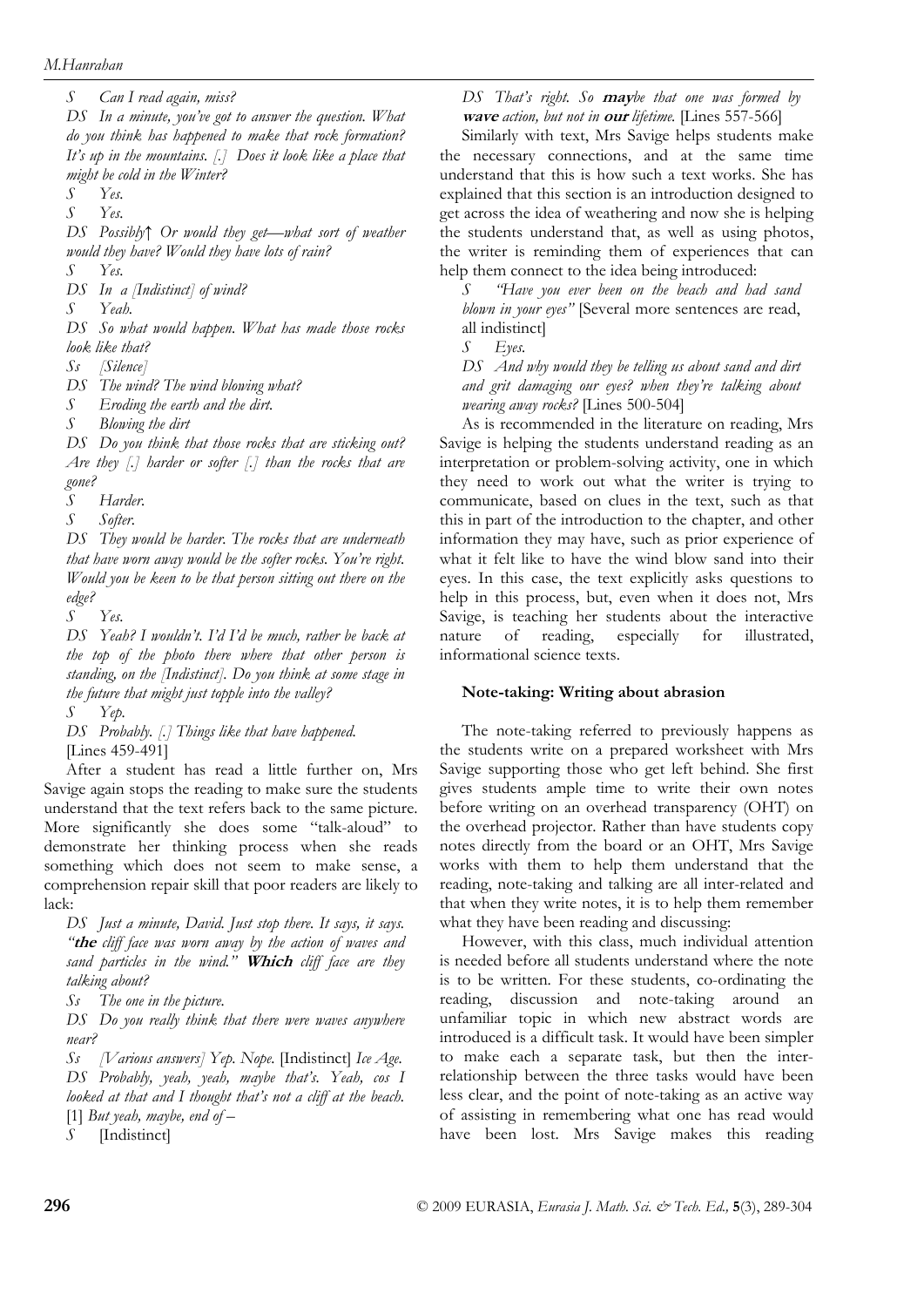*S Can I read again, miss?* 

*DS In a minute, you've got to answer the question. What do you think has happened to make that rock formation? It's up in the mountains. [.] Does it look like a place that might be cold in the Winter?* 

*S Yes.* 

*S Yes.* 

*DS Possibly↑ Or would they get—what sort of weather would they have? Would they have lots of rain?* 

*DS In a [Indistinct] of wind?* 

*S Yeah.* 

*S Yes.* 

*DS So what would happen. What has made those rocks look like that?* 

*Ss [Silence]* 

*DS The wind? The wind blowing what?* 

*S Eroding the earth and the dirt.* 

*S Blowing the dirt* 

*DS Do you think that those rocks that are sticking out? Are they [.] harder or softer [.] than the rocks that are gone?* 

*S Harder.* 

*S Softer.* 

*DS They would be harder. The rocks that are underneath that have worn away would be the softer rocks. You're right. Would you be keen to be that person sitting out there on the edge?* 

*S Yes.* 

*DS Yeah? I wouldn't. I'd I'd be much, rather be back at the top of the photo there where that other person is standing, on the [Indistinct]. Do you think at some stage in the future that might just topple into the valley?* 

*S Yep.* 

*DS Probably. [.] Things like that have happened.*  [Lines 459-491]

After a student has read a little further on, Mrs Savige again stops the reading to make sure the students understand that the text refers back to the same picture. More significantly she does some "talk-aloud" to demonstrate her thinking process when she reads something which does not seem to make sense, a comprehension repair skill that poor readers are likely to lack:

*DS Just a minute, David. Just stop there. It says, it says. "***the** *cliff face was worn away by the action of waves and sand particles in the wind."* **Which** *cliff face are they talking about?* 

*Ss The one in the picture.* 

*DS Do you really think that there were waves anywhere near?* 

*Ss [Various answers] Yep. Nope.* [Indistinct] *Ice Age. DS Probably, yeah, yeah, maybe that's. Yeah, cos I looked at that and I thought that's not a cliff at the beach.*  [1] *But yeah, maybe, end of –* 

*S* [Indistinct]

*DS That's right. So* **may***be that one was formed by*  **wave** *action, but not in* **our** *lifetime.* [Lines 557-566]

Similarly with text, Mrs Savige helps students make the necessary connections, and at the same time understand that this is how such a text works. She has explained that this section is an introduction designed to get across the idea of weathering and now she is helping the students understand that, as well as using photos, the writer is reminding them of experiences that can help them connect to the idea being introduced:

*S "Have you ever been on the beach and had sand blown in your eyes"* [Several more sentences are read, all indistinct]

*S Eyes.* 

*DS And why would they be telling us about sand and dirt and grit damaging our eyes? when they're talking about wearing away rocks?* [Lines 500-504]

As is recommended in the literature on reading, Mrs Savige is helping the students understand reading as an interpretation or problem-solving activity, one in which they need to work out what the writer is trying to communicate, based on clues in the text, such as that this in part of the introduction to the chapter, and other information they may have, such as prior experience of what it felt like to have the wind blow sand into their eyes. In this case, the text explicitly asks questions to help in this process, but, even when it does not, Mrs Savige, is teaching her students about the interactive nature of reading, especially for illustrated, informational science texts.

#### **Note-taking: Writing about abrasion**

The note-taking referred to previously happens as the students write on a prepared worksheet with Mrs Savige supporting those who get left behind. She first gives students ample time to write their own notes before writing on an overhead transparency (OHT) on the overhead projector. Rather than have students copy notes directly from the board or an OHT, Mrs Savige works with them to help them understand that the reading, note-taking and talking are all inter-related and that when they write notes, it is to help them remember what they have been reading and discussing:

However, with this class, much individual attention is needed before all students understand where the note is to be written. For these students, co-ordinating the reading, discussion and note-taking around an unfamiliar topic in which new abstract words are introduced is a difficult task. It would have been simpler to make each a separate task, but then the interrelationship between the three tasks would have been less clear, and the point of note-taking as an active way of assisting in remembering what one has read would have been lost. Mrs Savige makes this reading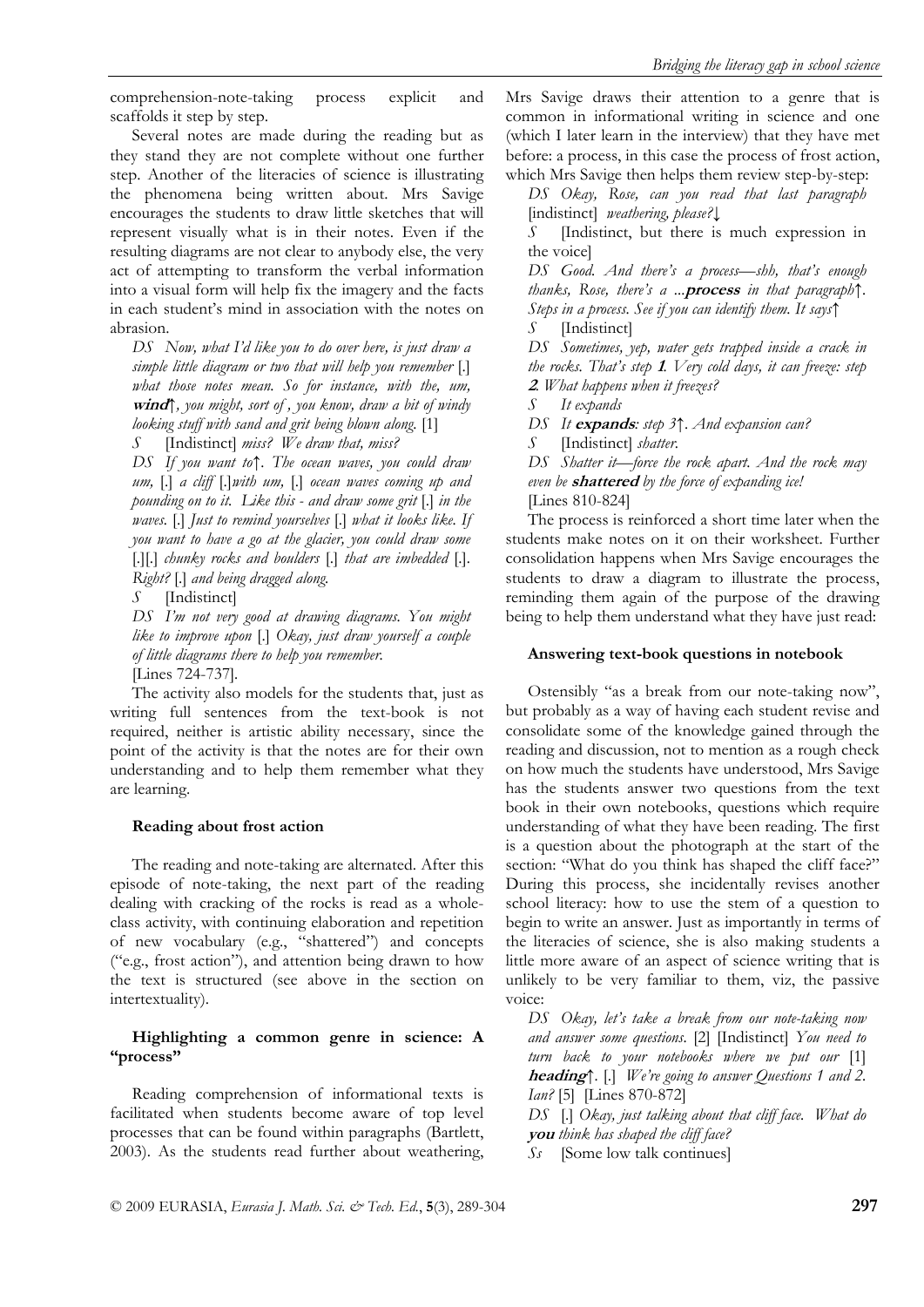comprehension-note-taking process explicit and scaffolds it step by step.

Several notes are made during the reading but as they stand they are not complete without one further step. Another of the literacies of science is illustrating the phenomena being written about. Mrs Savige encourages the students to draw little sketches that will represent visually what is in their notes. Even if the resulting diagrams are not clear to anybody else, the very act of attempting to transform the verbal information into a visual form will help fix the imagery and the facts in each student's mind in association with the notes on abrasion.

*DS Now, what I'd like you to do over here, is just draw a simple little diagram or two that will help you remember* [.] *what those notes mean. So for instance, with the, um,*  **wind***↑, you might, sort of , you know, draw a bit of windy looking stuff with sand and grit being blown along.* [1]

*S* [Indistinct] *miss? We draw that, miss?* 

*DS If you want to↑. The ocean waves, you could draw um,* [.] *a cliff* [.]*with um,* [.] *ocean waves coming up and pounding on to it. Like this - and draw some grit* [.] *in the waves.* [.] *Just to remind yourselves* [.] *what it looks like. If you want to have a go at the glacier, you could draw some*  [.][.] *chunky rocks and boulders* [.] *that are imbedded* [.]*. Right?* [.] *and being dragged along.* 

*S* [Indistinct]

*DS I'm not very good at drawing diagrams. You might like to improve upon* [.] *Okay, just draw yourself a couple of little diagrams there to help you remember.* 

[Lines 724-737]*.* 

The activity also models for the students that, just as writing full sentences from the text-book is not required, neither is artistic ability necessary, since the point of the activity is that the notes are for their own understanding and to help them remember what they are learning.

#### **Reading about frost action**

The reading and note-taking are alternated. After this episode of note-taking, the next part of the reading dealing with cracking of the rocks is read as a wholeclass activity, with continuing elaboration and repetition of new vocabulary (e.g., "shattered") and concepts ("e.g., frost action"), and attention being drawn to how the text is structured (see above in the section on intertextuality).

### **Highlighting a common genre in science: A "process"**

Reading comprehension of informational texts is facilitated when students become aware of top level processes that can be found within paragraphs (Bartlett, 2003). As the students read further about weathering, Mrs Savige draws their attention to a genre that is common in informational writing in science and one (which I later learn in the interview) that they have met before: a process, in this case the process of frost action, which Mrs Savige then helps them review step-by-step:

*DS Okay, Rose, can you read that last paragraph*  [indistinct] *weathering, please?↓*

*S* **Indistinct**, but there is much expression in the voice]

*DS Good. And there's a process—shh, that's enough thanks, Rose, there's a ...***process** *in that paragraph↑. Steps in a process. See if you can identify them. It says↑*

*S* [Indistinct]

*DS Sometimes, yep, water gets trapped inside a crack in the rocks. That's step* **1***. Very cold days, it can freeze: step*  **<sup>2</sup>***. What happens when it freezes?* 

*S It expands* 

*DS It* **expands***: step 3↑. And expansion can?* 

*S* [Indistinct] *shatter.* 

*DS Shatter it—force the rock apart. And the rock may even be* **shattered** *by the force of expanding ice!*  [Lines 810-824]

The process is reinforced a short time later when the students make notes on it on their worksheet. Further consolidation happens when Mrs Savige encourages the students to draw a diagram to illustrate the process, reminding them again of the purpose of the drawing being to help them understand what they have just read:

#### **Answering text-book questions in notebook**

Ostensibly "as a break from our note-taking now", but probably as a way of having each student revise and consolidate some of the knowledge gained through the reading and discussion, not to mention as a rough check on how much the students have understood, Mrs Savige has the students answer two questions from the text book in their own notebooks, questions which require understanding of what they have been reading. The first is a question about the photograph at the start of the section: "What do you think has shaped the cliff face?" During this process, she incidentally revises another school literacy: how to use the stem of a question to begin to write an answer. Just as importantly in terms of the literacies of science, she is also making students a little more aware of an aspect of science writing that is unlikely to be very familiar to them, viz, the passive voice:

*DS Okay, let's take a break from our note-taking now and answer some questions.* [2] [Indistinct] *You need to turn back to your notebooks where we put our* [1] **heading***↑.* [.] *We're going to answer Questions 1 and 2. Ian?* [5][Lines 870-872]

*DS* [.] *Okay, just talking about that cliff face. What do*  **you** *think has shaped the cliff face?* 

*Ss* [Some low talk continues]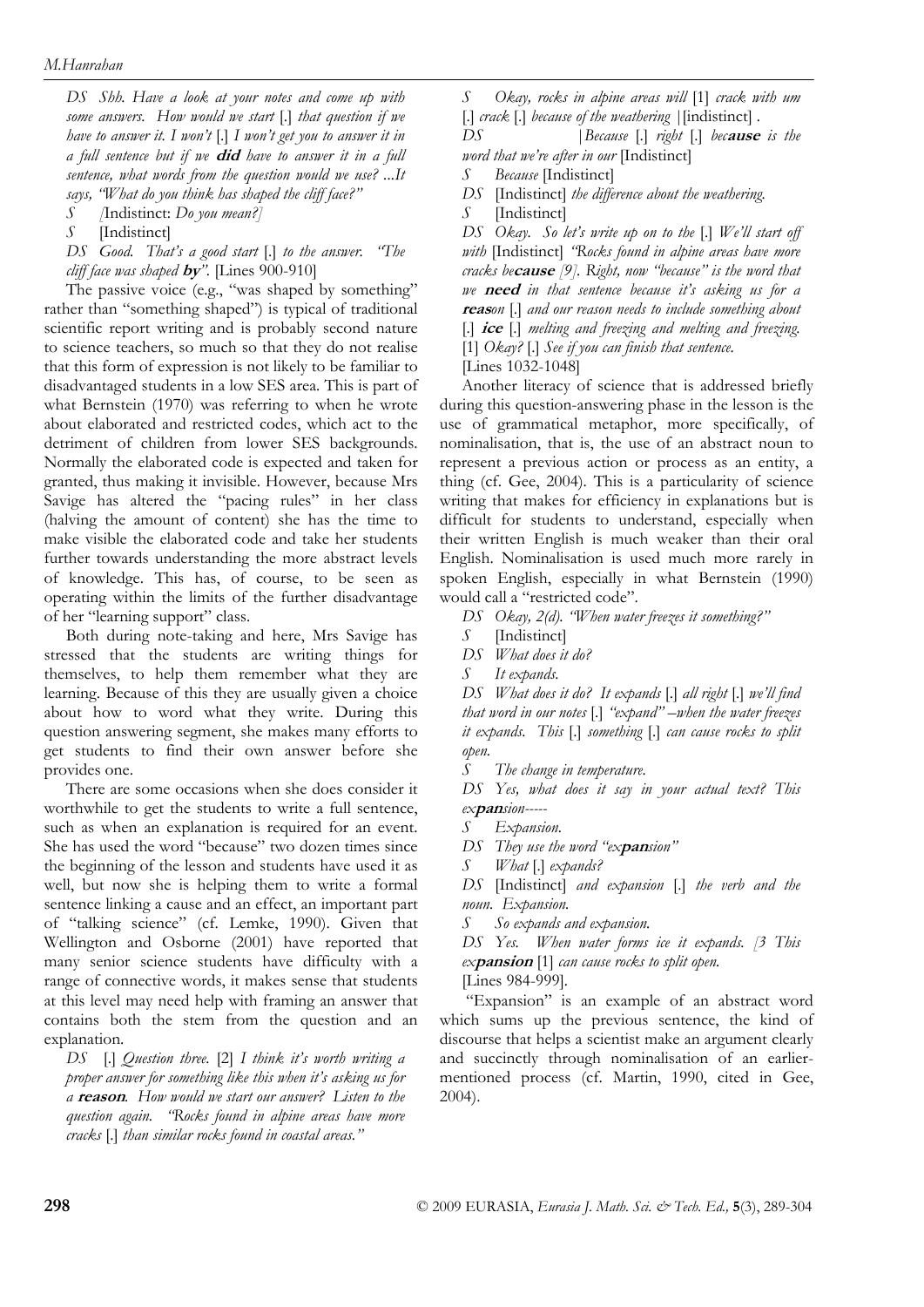*DS Shh. Have a look at your notes and come up with some answers. How would we start* [.] *that question if we have to answer it. I won't* [.] *I won't get you to answer it in a full sentence but if we* **did** *have to answer it in a full sentence, what words from the question would we use? ...It says, "What do you think has shaped the cliff face?"* 

*S [*Indistinct: *Do you mean?]* 

*S* [Indistinct]

*DS Good. That's a good start* [.] *to the answer. "The cliff face was shaped* **by***".* [Lines 900-910]

The passive voice (e.g., "was shaped by something" rather than "something shaped") is typical of traditional scientific report writing and is probably second nature to science teachers, so much so that they do not realise that this form of expression is not likely to be familiar to disadvantaged students in a low SES area. This is part of what Bernstein (1970) was referring to when he wrote about elaborated and restricted codes, which act to the detriment of children from lower SES backgrounds. Normally the elaborated code is expected and taken for granted, thus making it invisible. However, because Mrs Savige has altered the "pacing rules" in her class (halving the amount of content) she has the time to make visible the elaborated code and take her students further towards understanding the more abstract levels of knowledge. This has, of course, to be seen as operating within the limits of the further disadvantage of her "learning support" class.

Both during note-taking and here, Mrs Savige has stressed that the students are writing things for themselves, to help them remember what they are learning. Because of this they are usually given a choice about how to word what they write. During this question answering segment, she makes many efforts to get students to find their own answer before she provides one.

There are some occasions when she does consider it worthwhile to get the students to write a full sentence, such as when an explanation is required for an event. She has used the word "because" two dozen times since the beginning of the lesson and students have used it as well, but now she is helping them to write a formal sentence linking a cause and an effect, an important part of "talking science" (cf. Lemke, 1990). Given that Wellington and Osborne (2001) have reported that many senior science students have difficulty with a range of connective words, it makes sense that students at this level may need help with framing an answer that contains both the stem from the question and an explanation.

*DS* [.] *Question three.* [2] *I think it's worth writing a proper answer for something like this when it's asking us for a* **reason***. How would we start our answer? Listen to the question again. "Rocks found in alpine areas have more cracks* [.] *than similar rocks found in coastal areas."* 

*S Okay, rocks in alpine areas will* [1] *crack with um*  [.] *crack* [.] *because of the weathering |*[indistinct] *.* 

*DS |Because* [.] *right* [.] *bec***ause** *is the word that we're after in our* [Indistinct]

*S Because* [Indistinct]

*DS* [Indistinct] *the difference about the weathering.* 

*S* [Indistinct]

*DS Okay. So let's write up on to the* [.] *We'll start off with* [Indistinct] *"Rocks found in alpine areas have more cracks be***cause** *[9]. Right, now "because" is the word that we* **need** *in that sentence because it's asking us for a*  **reas***on* [.] *and our reason needs to include something about*  [.] **ice** [.] *melting and freezing and melting and freezing.*  [1] *Okay?* [.] *See if you can finish that sentence.*  [Lines 1032-1048]

Another literacy of science that is addressed briefly during this question-answering phase in the lesson is the use of grammatical metaphor, more specifically, of nominalisation, that is, the use of an abstract noun to represent a previous action or process as an entity, a thing (cf. Gee, 2004). This is a particularity of science writing that makes for efficiency in explanations but is difficult for students to understand, especially when their written English is much weaker than their oral English. Nominalisation is used much more rarely in spoken English, especially in what Bernstein (1990) would call a "restricted code".

*DS Okay, 2(d). "When water freezes it something?"* 

*S* [Indistinct]

*DS What does it do?* 

*S It expands.* 

*DS What does it do? It expands* [.] *all right* [.] *we'll find that word in our notes* [.] *"expand" –when the water freezes it expands. This* [.] *something* [.] *can cause rocks to split open.* 

*S The change in temperature.* 

*DS Yes, what does it say in your actual text? This ex***pan***sion-----* 

*S Expansion.* 

*DS They use the word "ex***pan***sion"* 

*S What* [.] *expands?* 

*DS* [Indistinct] *and expansion* [.] *the verb and the noun. Expansion.* 

*S So expands and expansion.* 

*DS Yes. When water forms ice it expands. [3 This ex***pansion** [1] *can cause rocks to split open.* 

[Lines 984-999]*.* 

 "Expansion" is an example of an abstract word which sums up the previous sentence, the kind of discourse that helps a scientist make an argument clearly and succinctly through nominalisation of an earliermentioned process (cf. Martin, 1990, cited in Gee, 2004).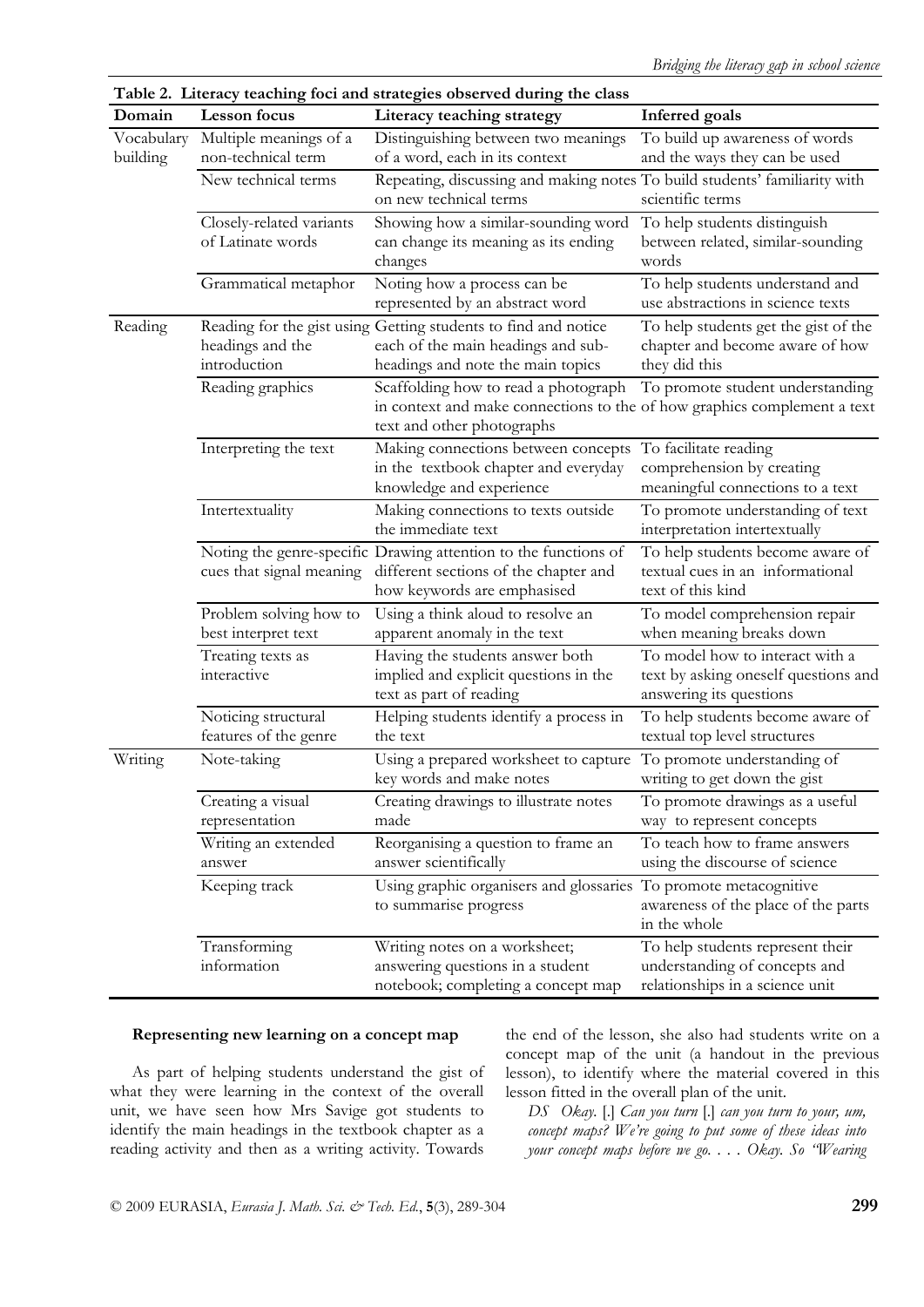| Table 2. Literacy teaching foci and strategies observed during the class |                                               |                                                                                                                                                |                                                                                                      |  |  |  |  |
|--------------------------------------------------------------------------|-----------------------------------------------|------------------------------------------------------------------------------------------------------------------------------------------------|------------------------------------------------------------------------------------------------------|--|--|--|--|
| Domain                                                                   | Lesson focus                                  | Literacy teaching strategy                                                                                                                     | <b>Inferred</b> goals                                                                                |  |  |  |  |
| Vocabulary<br>building                                                   | Multiple meanings of a<br>non-technical term  | Distinguishing between two meanings<br>of a word, each in its context                                                                          | To build up awareness of words<br>and the ways they can be used                                      |  |  |  |  |
|                                                                          | New technical terms                           | Repeating, discussing and making notes To build students' familiarity with<br>on new technical terms                                           | scientific terms                                                                                     |  |  |  |  |
|                                                                          | Closely-related variants<br>of Latinate words | Showing how a similar-sounding word<br>can change its meaning as its ending<br>changes                                                         | To help students distinguish<br>between related, similar-sounding<br>words                           |  |  |  |  |
|                                                                          | Grammatical metaphor                          | Noting how a process can be<br>represented by an abstract word                                                                                 | To help students understand and<br>use abstractions in science texts                                 |  |  |  |  |
| Reading                                                                  | headings and the<br>introduction              | Reading for the gist using Getting students to find and notice<br>each of the main headings and sub-<br>headings and note the main topics      | To help students get the gist of the<br>chapter and become aware of how<br>they did this             |  |  |  |  |
|                                                                          | Reading graphics                              | Scaffolding how to read a photograph<br>in context and make connections to the of how graphics complement a text<br>text and other photographs | To promote student understanding                                                                     |  |  |  |  |
|                                                                          | Interpreting the text                         | Making connections between concepts<br>in the textbook chapter and everyday<br>knowledge and experience                                        | To facilitate reading<br>comprehension by creating<br>meaningful connections to a text               |  |  |  |  |
|                                                                          | Intertextuality                               | Making connections to texts outside<br>the immediate text                                                                                      | To promote understanding of text<br>interpretation intertextually                                    |  |  |  |  |
|                                                                          | cues that signal meaning                      | Noting the genre-specific Drawing attention to the functions of<br>different sections of the chapter and<br>how keywords are emphasised        | To help students become aware of<br>textual cues in an informational<br>text of this kind            |  |  |  |  |
|                                                                          | Problem solving how to<br>best interpret text | Using a think aloud to resolve an<br>apparent anomaly in the text                                                                              | To model comprehension repair<br>when meaning breaks down                                            |  |  |  |  |
|                                                                          | Treating texts as<br>interactive              | Having the students answer both<br>implied and explicit questions in the<br>text as part of reading                                            | To model how to interact with a<br>text by asking oneself questions and<br>answering its questions   |  |  |  |  |
|                                                                          | Noticing structural<br>features of the genre  | Helping students identify a process in<br>the text                                                                                             | To help students become aware of<br>textual top level structures                                     |  |  |  |  |
| Writing                                                                  | Note-taking                                   | Using a prepared worksheet to capture<br>key words and make notes                                                                              | To promote understanding of<br>writing to get down the gist                                          |  |  |  |  |
|                                                                          | Creating a visual<br>representation           | Creating drawings to illustrate notes<br>made                                                                                                  | To promote drawings as a useful<br>way to represent concepts                                         |  |  |  |  |
|                                                                          | Writing an extended<br>answer                 | Reorganising a question to frame an<br>answer scientifically                                                                                   | To teach how to frame answers<br>using the discourse of science                                      |  |  |  |  |
|                                                                          | Keeping track                                 | Using graphic organisers and glossaries To promote metacognitive<br>to summarise progress                                                      | awareness of the place of the parts<br>in the whole                                                  |  |  |  |  |
|                                                                          | Transforming<br>information                   | Writing notes on a worksheet;<br>answering questions in a student<br>notebook; completing a concept map                                        | To help students represent their<br>understanding of concepts and<br>relationships in a science unit |  |  |  |  |

# **Representing new learning on a concept map**

As part of helping students understand the gist of what they were learning in the context of the overall unit, we have seen how Mrs Savige got students to identify the main headings in the textbook chapter as a reading activity and then as a writing activity. Towards

the end of the lesson, she also had students write on a concept map of the unit (a handout in the previous lesson), to identify where the material covered in this lesson fitted in the overall plan of the unit.

*DS Okay.* [.] *Can you turn* [.] *can you turn to your, um, concept maps? We're going to put some of these ideas into your concept maps before we go. . . . Okay. So "Wearing*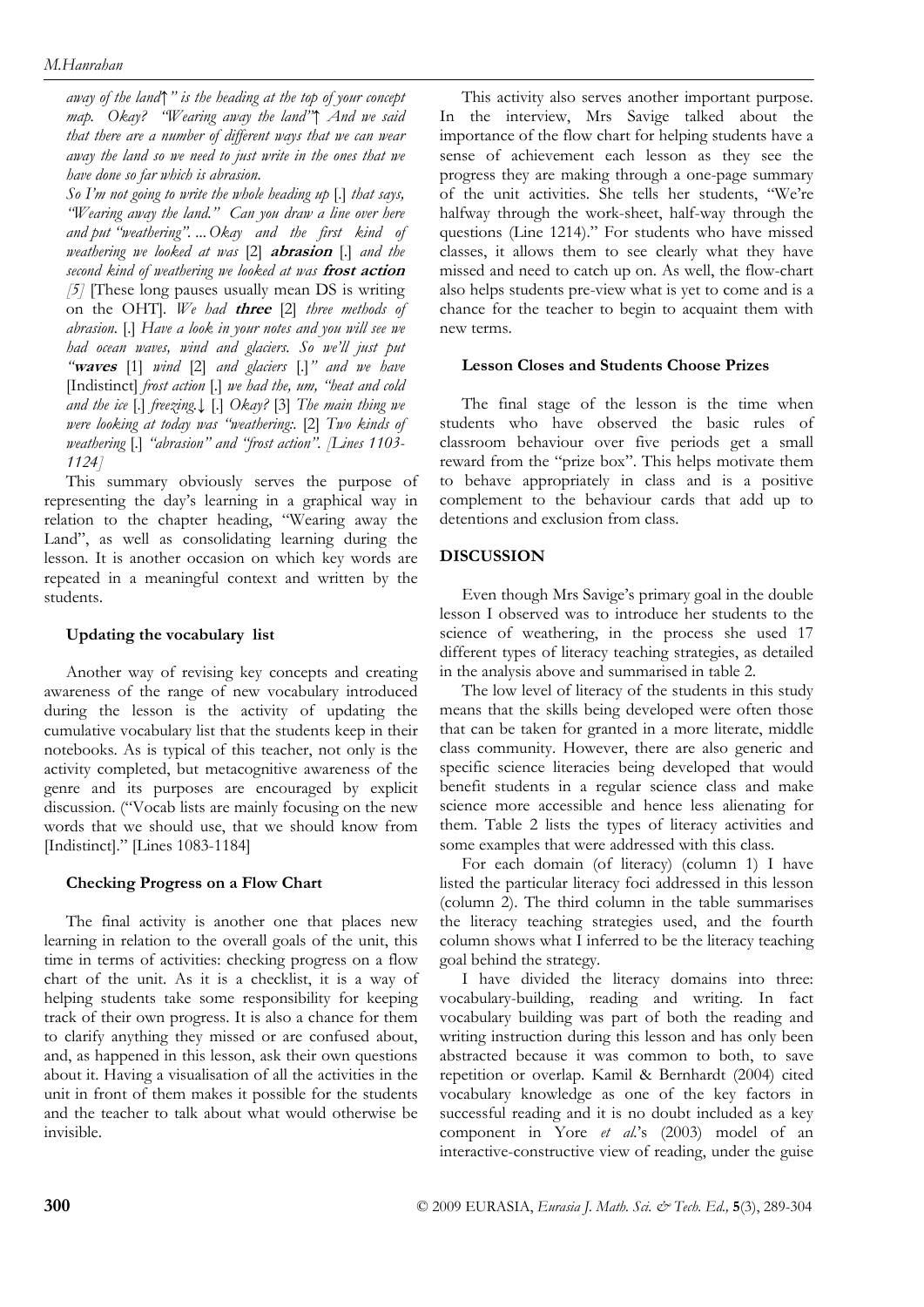*away of the land↑" is the heading at the top of your concept map. Okay? "Wearing away the land"↑ And we said that there are a number of different ways that we can wear away the land so we need to just write in the ones that we have done so far which is abrasion.* 

*So I'm not going to write the whole heading up* [.] *that says, "Wearing away the land." Can you draw a line over here and put "weathering". ... Okay and the first kind of weathering we looked at was* [2] **abrasion** [.] *and the second kind of weathering we looked at was* **frost action** *[5]* [These long pauses usually mean DS is writing on the OHT]*. We had* **three** [2] *three methods of abrasion.* [.] *Have a look in your notes and you will see we had ocean waves, wind and glaciers. So we'll just put "***waves** [1] *wind* [2] *and glaciers* [.]*" and we have*  [Indistinct] *frost action* [.] *we had the, um, "heat and cold and the ice* [.] *freezing.↓* [.] *Okay?* [3] *The main thing we were looking at today was "weathering:.* [2] *Two kinds of weathering* [.] *"abrasion" and "frost action". [Lines 1103- 1124]* 

This summary obviously serves the purpose of representing the day's learning in a graphical way in relation to the chapter heading, "Wearing away the Land", as well as consolidating learning during the lesson. It is another occasion on which key words are repeated in a meaningful context and written by the students.

#### **Updating the vocabulary list**

Another way of revising key concepts and creating awareness of the range of new vocabulary introduced during the lesson is the activity of updating the cumulative vocabulary list that the students keep in their notebooks. As is typical of this teacher, not only is the activity completed, but metacognitive awareness of the genre and its purposes are encouraged by explicit discussion. ("Vocab lists are mainly focusing on the new words that we should use, that we should know from [Indistinct]." [Lines 1083-1184]

#### **Checking Progress on a Flow Chart**

The final activity is another one that places new learning in relation to the overall goals of the unit, this time in terms of activities: checking progress on a flow chart of the unit. As it is a checklist, it is a way of helping students take some responsibility for keeping track of their own progress. It is also a chance for them to clarify anything they missed or are confused about, and, as happened in this lesson, ask their own questions about it. Having a visualisation of all the activities in the unit in front of them makes it possible for the students and the teacher to talk about what would otherwise be invisible.

This activity also serves another important purpose. In the interview, Mrs Savige talked about the importance of the flow chart for helping students have a sense of achievement each lesson as they see the progress they are making through a one-page summary of the unit activities. She tells her students, "We're halfway through the work-sheet, half-way through the questions (Line 1214)." For students who have missed classes, it allows them to see clearly what they have missed and need to catch up on. As well, the flow-chart also helps students pre-view what is yet to come and is a chance for the teacher to begin to acquaint them with new terms.

#### **Lesson Closes and Students Choose Prizes**

The final stage of the lesson is the time when students who have observed the basic rules of classroom behaviour over five periods get a small reward from the "prize box". This helps motivate them to behave appropriately in class and is a positive complement to the behaviour cards that add up to detentions and exclusion from class.

# **DISCUSSION**

Even though Mrs Savige's primary goal in the double lesson I observed was to introduce her students to the science of weathering, in the process she used 17 different types of literacy teaching strategies, as detailed in the analysis above and summarised in table 2.

The low level of literacy of the students in this study means that the skills being developed were often those that can be taken for granted in a more literate, middle class community. However, there are also generic and specific science literacies being developed that would benefit students in a regular science class and make science more accessible and hence less alienating for them. Table 2 lists the types of literacy activities and some examples that were addressed with this class.

For each domain (of literacy) (column 1) I have listed the particular literacy foci addressed in this lesson (column 2). The third column in the table summarises the literacy teaching strategies used, and the fourth column shows what I inferred to be the literacy teaching goal behind the strategy.

I have divided the literacy domains into three: vocabulary-building, reading and writing. In fact vocabulary building was part of both the reading and writing instruction during this lesson and has only been abstracted because it was common to both, to save repetition or overlap. Kamil & Bernhardt (2004) cited vocabulary knowledge as one of the key factors in successful reading and it is no doubt included as a key component in Yore *et al.*'s (2003) model of an interactive-constructive view of reading, under the guise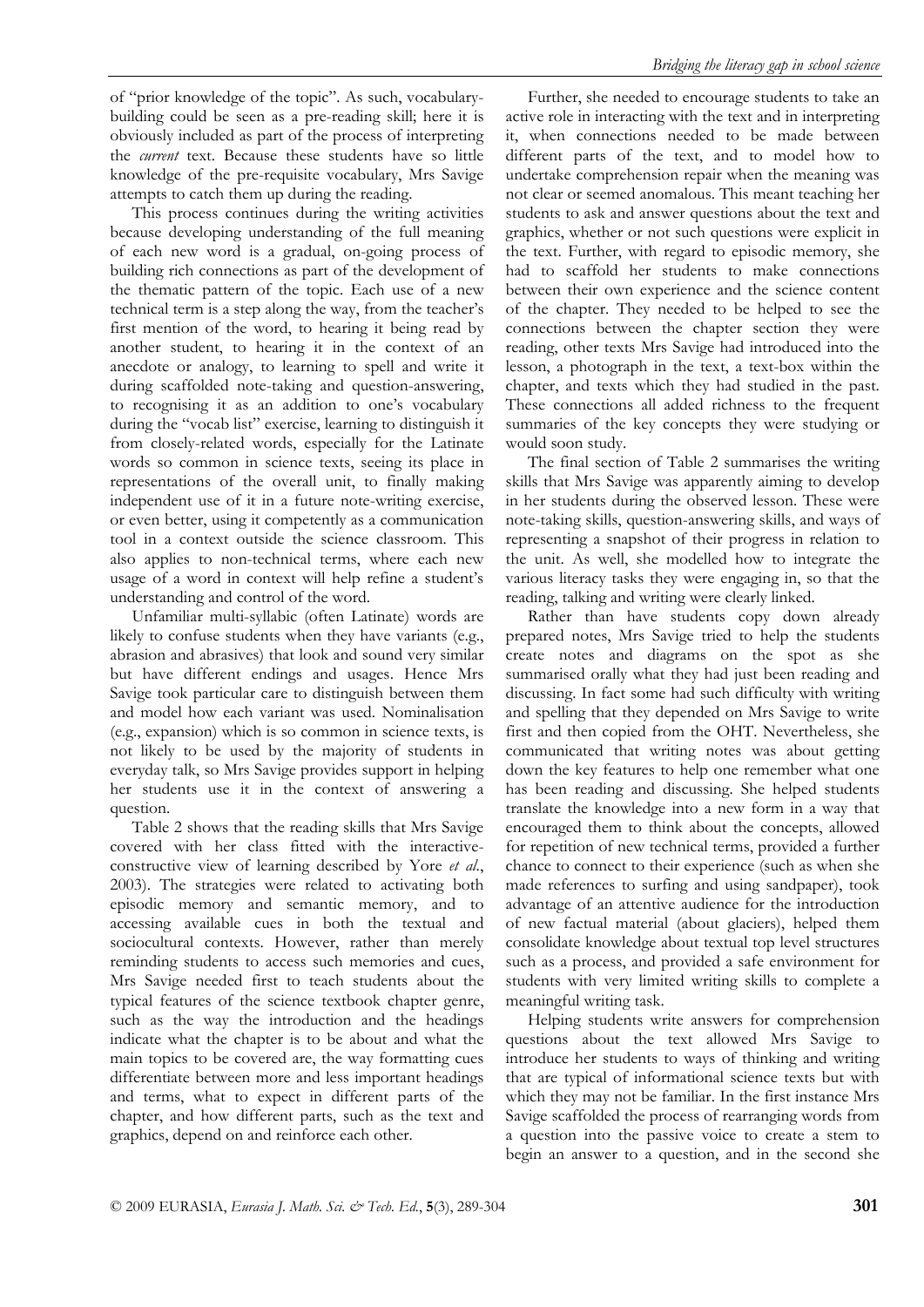of "prior knowledge of the topic". As such, vocabularybuilding could be seen as a pre-reading skill; here it is obviously included as part of the process of interpreting the *current* text. Because these students have so little knowledge of the pre-requisite vocabulary, Mrs Savige attempts to catch them up during the reading.

This process continues during the writing activities because developing understanding of the full meaning of each new word is a gradual, on-going process of building rich connections as part of the development of the thematic pattern of the topic. Each use of a new technical term is a step along the way, from the teacher's first mention of the word, to hearing it being read by another student, to hearing it in the context of an anecdote or analogy, to learning to spell and write it during scaffolded note-taking and question-answering, to recognising it as an addition to one's vocabulary during the "vocab list" exercise, learning to distinguish it from closely-related words, especially for the Latinate words so common in science texts, seeing its place in representations of the overall unit, to finally making independent use of it in a future note-writing exercise, or even better, using it competently as a communication tool in a context outside the science classroom. This also applies to non-technical terms, where each new usage of a word in context will help refine a student's understanding and control of the word.

Unfamiliar multi-syllabic (often Latinate) words are likely to confuse students when they have variants (e.g., abrasion and abrasives) that look and sound very similar but have different endings and usages. Hence Mrs Savige took particular care to distinguish between them and model how each variant was used. Nominalisation (e.g., expansion) which is so common in science texts, is not likely to be used by the majority of students in everyday talk, so Mrs Savige provides support in helping her students use it in the context of answering a question.

Table 2 shows that the reading skills that Mrs Savige covered with her class fitted with the interactiveconstructive view of learning described by Yore *et al*., 2003). The strategies were related to activating both episodic memory and semantic memory, and to accessing available cues in both the textual and sociocultural contexts. However, rather than merely reminding students to access such memories and cues, Mrs Savige needed first to teach students about the typical features of the science textbook chapter genre, such as the way the introduction and the headings indicate what the chapter is to be about and what the main topics to be covered are, the way formatting cues differentiate between more and less important headings and terms, what to expect in different parts of the chapter, and how different parts, such as the text and graphics, depend on and reinforce each other.

Further, she needed to encourage students to take an active role in interacting with the text and in interpreting it, when connections needed to be made between different parts of the text, and to model how to undertake comprehension repair when the meaning was not clear or seemed anomalous. This meant teaching her students to ask and answer questions about the text and graphics, whether or not such questions were explicit in the text. Further, with regard to episodic memory, she had to scaffold her students to make connections between their own experience and the science content of the chapter. They needed to be helped to see the connections between the chapter section they were reading, other texts Mrs Savige had introduced into the lesson, a photograph in the text, a text-box within the chapter, and texts which they had studied in the past. These connections all added richness to the frequent summaries of the key concepts they were studying or would soon study.

The final section of Table 2 summarises the writing skills that Mrs Savige was apparently aiming to develop in her students during the observed lesson. These were note-taking skills, question-answering skills, and ways of representing a snapshot of their progress in relation to the unit. As well, she modelled how to integrate the various literacy tasks they were engaging in, so that the reading, talking and writing were clearly linked.

Rather than have students copy down already prepared notes, Mrs Savige tried to help the students create notes and diagrams on the spot as she summarised orally what they had just been reading and discussing. In fact some had such difficulty with writing and spelling that they depended on Mrs Savige to write first and then copied from the OHT. Nevertheless, she communicated that writing notes was about getting down the key features to help one remember what one has been reading and discussing. She helped students translate the knowledge into a new form in a way that encouraged them to think about the concepts, allowed for repetition of new technical terms, provided a further chance to connect to their experience (such as when she made references to surfing and using sandpaper), took advantage of an attentive audience for the introduction of new factual material (about glaciers), helped them consolidate knowledge about textual top level structures such as a process, and provided a safe environment for students with very limited writing skills to complete a meaningful writing task.

Helping students write answers for comprehension questions about the text allowed Mrs Savige to introduce her students to ways of thinking and writing that are typical of informational science texts but with which they may not be familiar. In the first instance Mrs Savige scaffolded the process of rearranging words from a question into the passive voice to create a stem to begin an answer to a question, and in the second she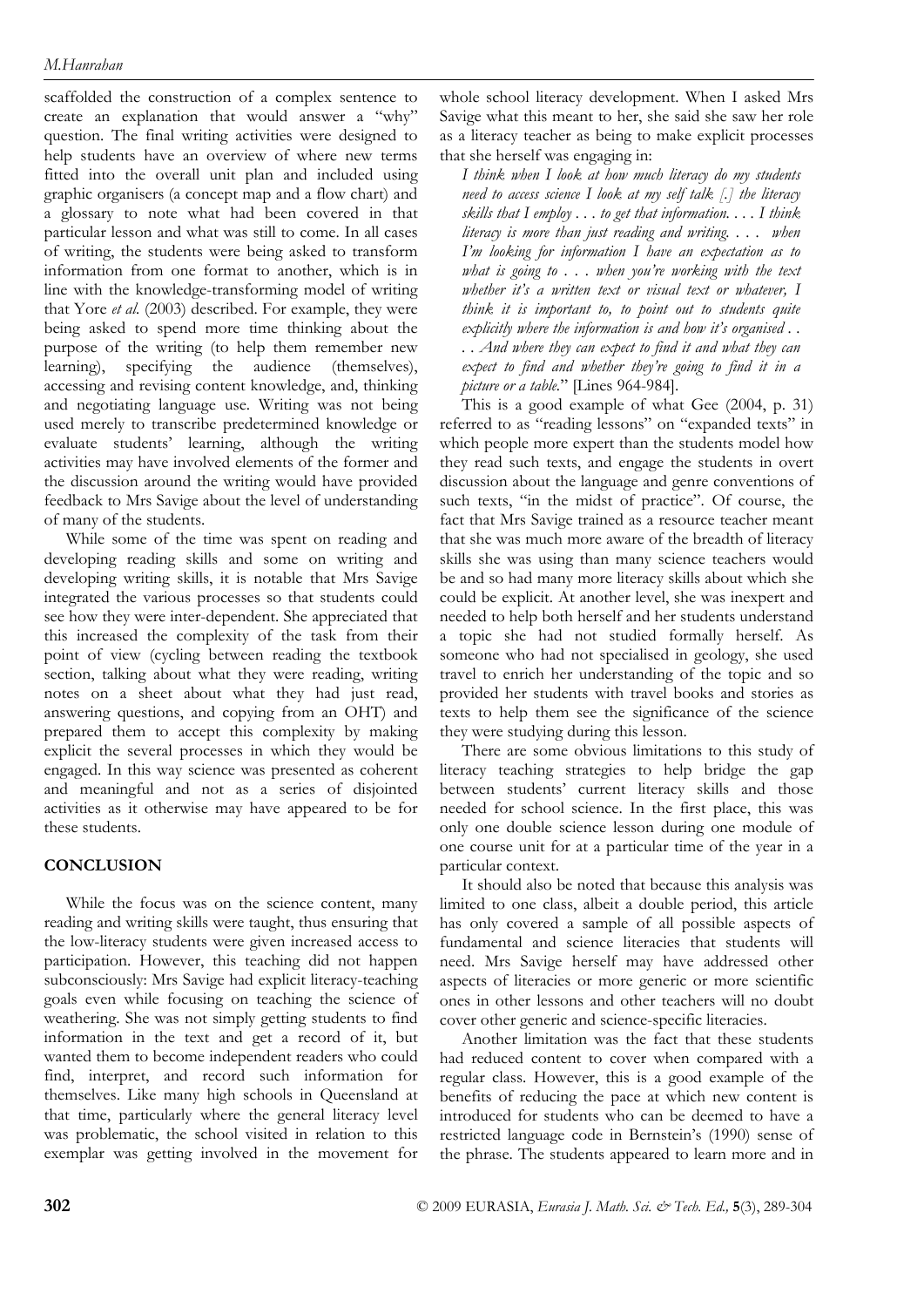scaffolded the construction of a complex sentence to create an explanation that would answer a "why" question. The final writing activities were designed to help students have an overview of where new terms fitted into the overall unit plan and included using graphic organisers (a concept map and a flow chart) and a glossary to note what had been covered in that particular lesson and what was still to come. In all cases of writing, the students were being asked to transform information from one format to another, which is in line with the knowledge-transforming model of writing that Yore *et al.* (2003) described. For example, they were being asked to spend more time thinking about the purpose of the writing (to help them remember new learning), specifying the audience (themselves), accessing and revising content knowledge, and, thinking and negotiating language use. Writing was not being used merely to transcribe predetermined knowledge or evaluate students' learning, although the writing activities may have involved elements of the former and the discussion around the writing would have provided feedback to Mrs Savige about the level of understanding of many of the students.

While some of the time was spent on reading and developing reading skills and some on writing and developing writing skills, it is notable that Mrs Savige integrated the various processes so that students could see how they were inter-dependent. She appreciated that this increased the complexity of the task from their point of view (cycling between reading the textbook section, talking about what they were reading, writing notes on a sheet about what they had just read, answering questions, and copying from an OHT) and prepared them to accept this complexity by making explicit the several processes in which they would be engaged. In this way science was presented as coherent and meaningful and not as a series of disjointed activities as it otherwise may have appeared to be for these students.

# **CONCLUSION**

While the focus was on the science content, many reading and writing skills were taught, thus ensuring that the low-literacy students were given increased access to participation. However, this teaching did not happen subconsciously: Mrs Savige had explicit literacy-teaching goals even while focusing on teaching the science of weathering. She was not simply getting students to find information in the text and get a record of it, but wanted them to become independent readers who could find, interpret, and record such information for themselves. Like many high schools in Queensland at that time, particularly where the general literacy level was problematic, the school visited in relation to this exemplar was getting involved in the movement for

whole school literacy development. When I asked Mrs Savige what this meant to her, she said she saw her role as a literacy teacher as being to make explicit processes that she herself was engaging in:

*I think when I look at how much literacy do my students need to access science I look at my self talk [.] the literacy skills that I employ . . . to get that information. . . . I think literacy is more than just reading and writing. . . . when I'm looking for information I have an expectation as to what is going to . . . when you're working with the text whether it's a written text or visual text or whatever, I think it is important to, to point out to students quite explicitly where the information is and how it's organised . . . . And where they can expect to find it and what they can expect to find and whether they're going to find it in a picture or a table.*" [Lines 964-984].

This is a good example of what Gee (2004, p. 31) referred to as "reading lessons" on "expanded texts" in which people more expert than the students model how they read such texts, and engage the students in overt discussion about the language and genre conventions of such texts, "in the midst of practice". Of course, the fact that Mrs Savige trained as a resource teacher meant that she was much more aware of the breadth of literacy skills she was using than many science teachers would be and so had many more literacy skills about which she could be explicit. At another level, she was inexpert and needed to help both herself and her students understand a topic she had not studied formally herself. As someone who had not specialised in geology, she used travel to enrich her understanding of the topic and so provided her students with travel books and stories as texts to help them see the significance of the science they were studying during this lesson.

There are some obvious limitations to this study of literacy teaching strategies to help bridge the gap between students' current literacy skills and those needed for school science. In the first place, this was only one double science lesson during one module of one course unit for at a particular time of the year in a particular context.

It should also be noted that because this analysis was limited to one class, albeit a double period, this article has only covered a sample of all possible aspects of fundamental and science literacies that students will need. Mrs Savige herself may have addressed other aspects of literacies or more generic or more scientific ones in other lessons and other teachers will no doubt cover other generic and science-specific literacies.

Another limitation was the fact that these students had reduced content to cover when compared with a regular class. However, this is a good example of the benefits of reducing the pace at which new content is introduced for students who can be deemed to have a restricted language code in Bernstein's (1990) sense of the phrase. The students appeared to learn more and in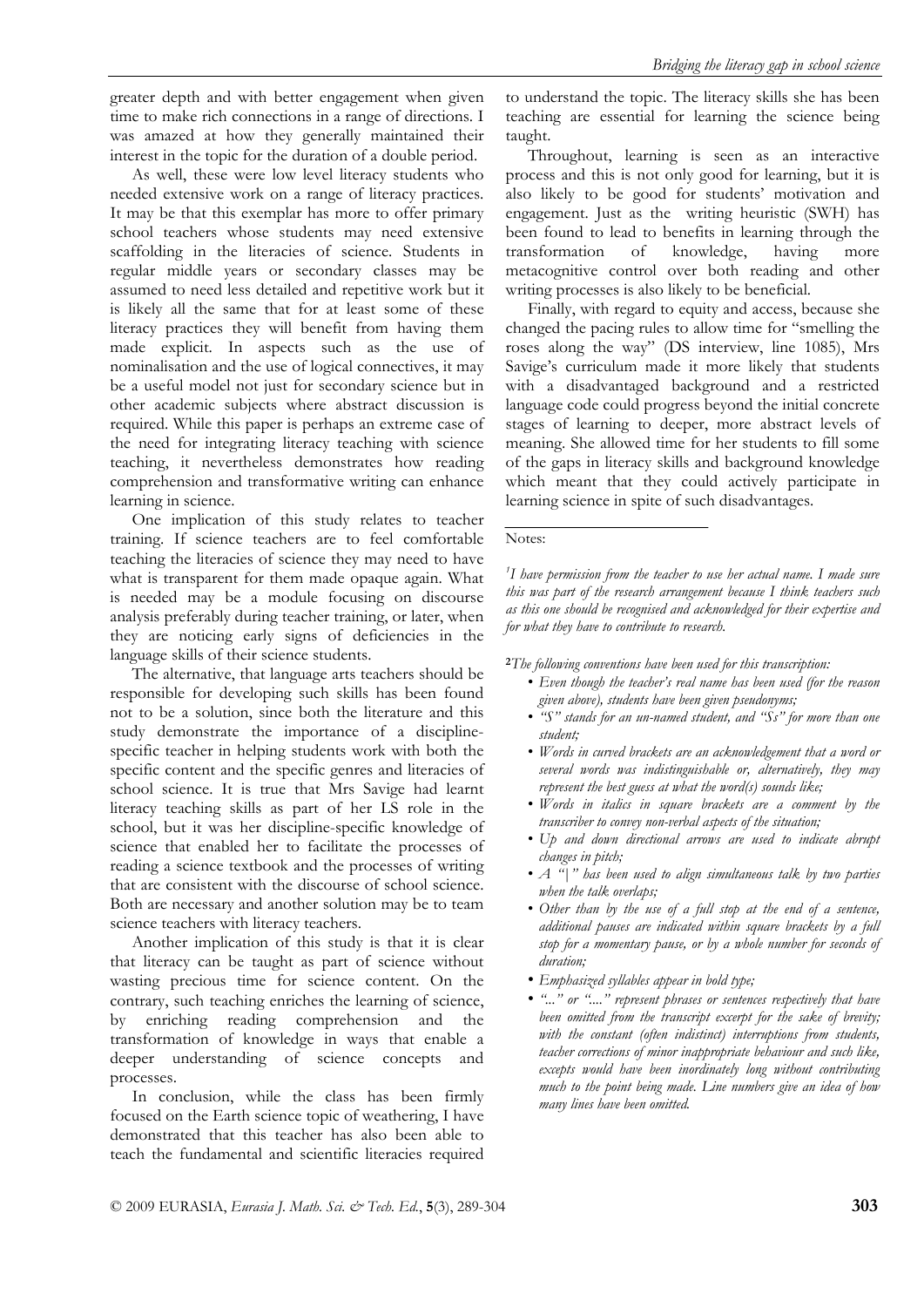greater depth and with better engagement when given time to make rich connections in a range of directions. I was amazed at how they generally maintained their interest in the topic for the duration of a double period.

As well, these were low level literacy students who needed extensive work on a range of literacy practices. It may be that this exemplar has more to offer primary school teachers whose students may need extensive scaffolding in the literacies of science. Students in regular middle years or secondary classes may be assumed to need less detailed and repetitive work but it is likely all the same that for at least some of these literacy practices they will benefit from having them made explicit. In aspects such as the use of nominalisation and the use of logical connectives, it may be a useful model not just for secondary science but in other academic subjects where abstract discussion is required. While this paper is perhaps an extreme case of the need for integrating literacy teaching with science teaching, it nevertheless demonstrates how reading comprehension and transformative writing can enhance learning in science.

One implication of this study relates to teacher training. If science teachers are to feel comfortable teaching the literacies of science they may need to have what is transparent for them made opaque again. What is needed may be a module focusing on discourse analysis preferably during teacher training, or later, when they are noticing early signs of deficiencies in the language skills of their science students.

The alternative, that language arts teachers should be responsible for developing such skills has been found not to be a solution, since both the literature and this study demonstrate the importance of a disciplinespecific teacher in helping students work with both the specific content and the specific genres and literacies of school science. It is true that Mrs Savige had learnt literacy teaching skills as part of her LS role in the school, but it was her discipline-specific knowledge of science that enabled her to facilitate the processes of reading a science textbook and the processes of writing that are consistent with the discourse of school science. Both are necessary and another solution may be to team science teachers with literacy teachers.

Another implication of this study is that it is clear that literacy can be taught as part of science without wasting precious time for science content. On the contrary, such teaching enriches the learning of science, by enriching reading comprehension and the transformation of knowledge in ways that enable a deeper understanding of science concepts and processes.

In conclusion, while the class has been firmly focused on the Earth science topic of weathering, I have demonstrated that this teacher has also been able to teach the fundamental and scientific literacies required to understand the topic. The literacy skills she has been teaching are essential for learning the science being taught.

Throughout, learning is seen as an interactive process and this is not only good for learning, but it is also likely to be good for students' motivation and engagement. Just as the writing heuristic (SWH) has been found to lead to benefits in learning through the transformation of knowledge, having more metacognitive control over both reading and other writing processes is also likely to be beneficial.

Finally, with regard to equity and access, because she changed the pacing rules to allow time for "smelling the roses along the way" (DS interview, line 1085), Mrs Savige's curriculum made it more likely that students with a disadvantaged background and a restricted language code could progress beyond the initial concrete stages of learning to deeper, more abstract levels of meaning. She allowed time for her students to fill some of the gaps in literacy skills and background knowledge which meant that they could actively participate in learning science in spite of such disadvantages.

#### Notes:

<sup>1</sup>I have permission from the teacher to use her actual name. I made sure *this was part of the research arrangement because I think teachers such as this one should be recognised and acknowledged for their expertise and for what they have to contribute to research.*

**<sup>2</sup>***The following conventions have been used for this transcription:* 

- *Even though the teacher's real name has been used (for the reason given above), students have been given pseudonyms;*
- *"S" stands for an un-named student, and "Ss" for more than one student;*
- *Words in curved brackets are an acknowledgement that a word or several words was indistinguishable or, alternatively, they may represent the best guess at what the word(s) sounds like;*
- *Words in italics in square brackets are a comment by the transcriber to convey non-verbal aspects of the situation;*
- *Up and down directional arrows are used to indicate abrupt changes in pitch;*
- *A* "|" has been used to align simultaneous talk by two parties *when the talk overlaps;*
- *Other than by the use of a full stop at the end of a sentence, additional pauses are indicated within square brackets by a full stop for a momentary pause, or by a whole number for seconds of duration;*
- *Emphasized syllables appear in bold type;*
- *"..." or "...." represent phrases or sentences respectively that have been omitted from the transcript excerpt for the sake of brevity; with the constant (often indistinct) interruptions from students, teacher corrections of minor inappropriate behaviour and such like, excepts would have been inordinately long without contributing much to the point being made. Line numbers give an idea of how many lines have been omitted.*